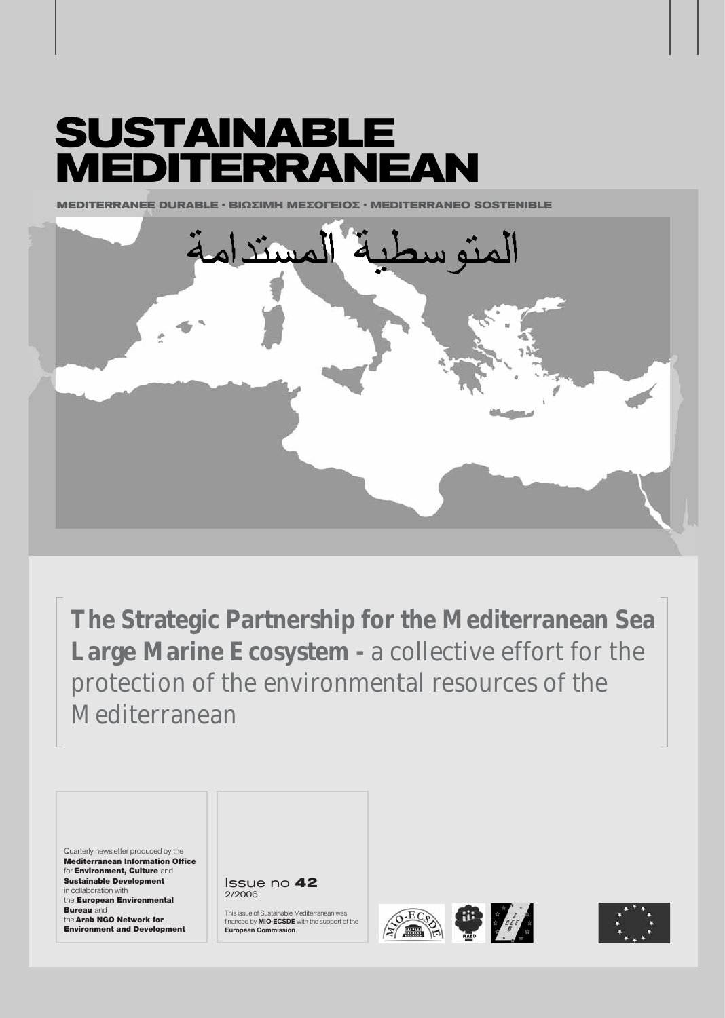# **SUSTAINABLE MEDITERRANEAN**

**MEDITERRANEE DURABLE § ΒΙΟΣΙΜΗ ΜΕΣΩΓΕΙΩΣ • ΜΕDITERRANEO SOSTENIBLE** 



**The Strategic Partnership for the Mediterranean Sea** Large Marine Ecosystem - a collective effort for the protection of the environmental resources of the Mediterranean

Quarterly newsletter produced by the Mediterranean Information Office for Environment, Culture and Sustainable Development in collaboration with the European Environmental **Bureau** and the Arab NGO Network for Environment and Development

Issue no **42** 2/2006

This issue of Sustainable Mediterranean was financed by **MIO-ECSDE** with the support of the **European Commission**.





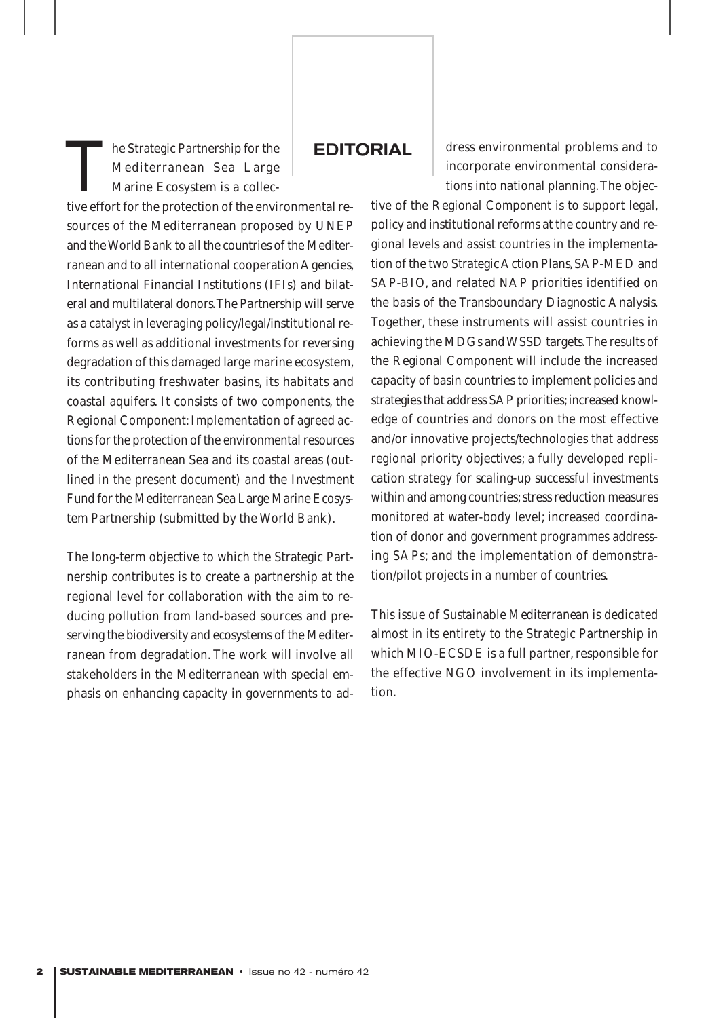The Strategic Partnership for the<br>Mediterranean Sea Large<br>Marine Ecosystem is a collec-<br>tive effort for the protection of the envi Mediterranean Sea Large Marine Ecosystem is a collec-

tive effort for the protection of the environmental resources of the Mediterranean proposed by UNEP and the World Bank to all the countries of the Mediterranean and to all international cooperation Agencies, International Financial Institutions (IFIs) and bilateral and multilateral donors.The Partnership will serve as a catalyst in leveraging policy/legal/institutional reforms as well as additional investments for reversing degradation of this damaged large marine ecosystem, its contributing freshwater basins, its habitats and coastal aquifers. It consists of two components, the Regional Component: Implementation of agreed actions for the protection of the environmental resources of the Mediterranean Sea and its coastal areas (outlined in the present document) and the Investment Fund for the Mediterranean Sea Large Marine Ecosystem Partnership (submitted by the World Bank).

The long-term objective to which the Strategic Partnership contributes is to create a partnership at the regional level for collaboration with the aim to reducing pollution from land-based sources and preserving the biodiversity and ecosystems of the Mediterranean from degradation. The work will involve all stakeholders in the Mediterranean with special emphasis on enhancing capacity in governments to ad-

**EDITORIAL** 

dress environmental problems and to incorporate environmental considerations into national planning.The objec-

tive of the Regional Component is to support legal, policy and institutional reforms at the country and regional levels and assist countries in the implementation of the two Strategic Action Plans, SAP-MED and SAP-BIO, and related NAP priorities identified on the basis of the Transboundary Diagnostic Analysis. Together, these instruments will assist countries in achieving the MDGs and WSSD targets.The results of the Regional Component will include the increased capacity of basin countries to implement policies and strategies that address SAP priorities; increased knowledge of countries and donors on the most effective and/or innovative projects/technologies that address regional priority objectives; a fully developed replication strategy for scaling-up successful investments within and among countries; stress reduction measures monitored at water-body level; increased coordination of donor and government programmes addressing SAPs; and the implementation of demonstration/pilot projects in a number of countries.

This issue of *Sustainable Mediterranean* is dedicated almost in its entirety to the Strategic Partnership in which MIO-ECSDE is a full partner, responsible for the effective NGO involvement in its implementation.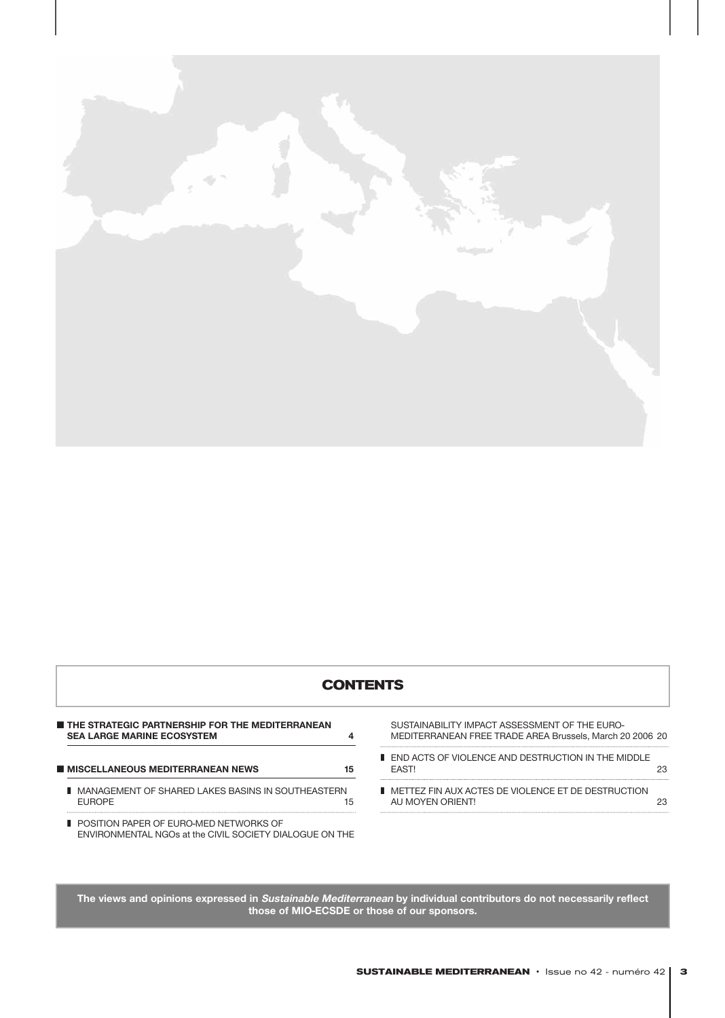

## **CONTENTS**

| THE STRATEGIC PARTNERSHIP FOR THE MEDITERRANEAN<br><b>SEA LARGE MARINE ECOSYSTEM</b> |    |
|--------------------------------------------------------------------------------------|----|
| <b>MISCELLANEOUS MEDITERRANEAN NEWS</b>                                              | 15 |
| <b>II</b> MANAGEMENT OF SHARED LAKES BASINS IN SOUTHEASTERN<br><b>FUROPE</b>         | 15 |
| BOOTION BARER OF FURO MED METHODIO OF                                                |    |

■ POSITION PAPER OF EURO-MED NETWORKS OF ENVIRONMENTAL NGOs at the CIVIL SOCIETY DIALOGUE ON THE

SUSTAINABILITY IMPACT ASSESSMENT OF THE EURO-MEDITERRANEAN FREE TRADE AREA Brussels, March 20 2006 20

■ END ACTS OF VIOLENCE AND DESTRUCTION IN THE MIDDLE EAST! 23 ■ METTEZ FIN AUX ACTES DE VIOLENCE ET DE DESTRUCTION AU MOYEN ORIENT! 23

**The views and opinions expressed in Sustainable Mediterranean by individual contributors do not necessarily reflect those of MIO-ECSDE or those of our sponsors.**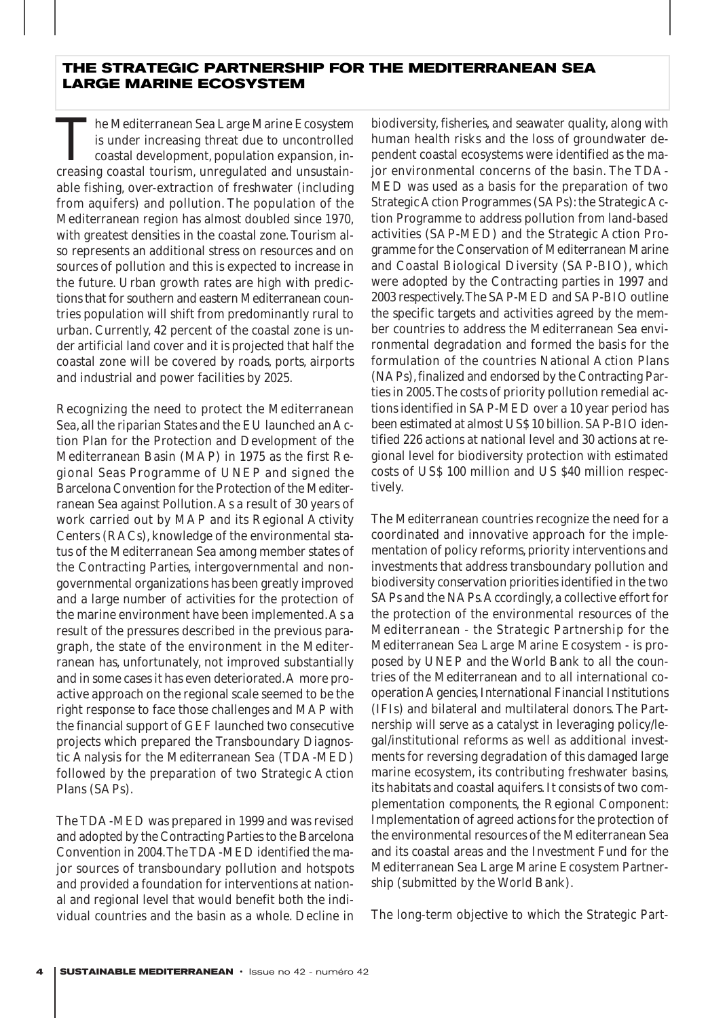## **THE STRATEGIC PARTNERSHIP FOR THE MEDITERRANEAN SEA LARGE MARINE ECOSYSTEM**

The Mediterranean Sea Large Marine Ecosystem<br>is under increasing threat due to uncontrolled<br>coastal development, population expansion, in-<br>creasing coastal tourism, unregulated and unsustainis under increasing threat due to uncontrolled coastal development, population expansion, increasing coastal tourism, unregulated and unsustainable fishing, over-extraction of freshwater (including from aquifers) and pollution. The population of the Mediterranean region has almost doubled since 1970, with greatest densities in the coastal zone. Tourism also represents an additional stress on resources and on sources of pollution and this is expected to increase in the future. Urban growth rates are high with predictions that for southern and eastern Mediterranean countries population will shift from predominantly rural to urban. Currently, 42 percent of the coastal zone is under artificial land cover and it is projected that half the coastal zone will be covered by roads, ports, airports and industrial and power facilities by 2025.

Recognizing the need to protect the Mediterranean Sea, all the riparian States and the EU launched an Action Plan for the Protection and Development of the Mediterranean Basin (MAP) in 1975 as the first Regional Seas Programme of UNEP and signed the Barcelona Convention for the Protection of the Mediterranean Sea against Pollution.As a result of 30 years of work carried out by MAP and its Regional Activity Centers (RACs), knowledge of the environmental status of the Mediterranean Sea among member states of the Contracting Parties, intergovernmental and nongovernmental organizations has been greatly improved and a large number of activities for the protection of the marine environment have been implemented.As a result of the pressures described in the previous paragraph, the state of the environment in the Mediterranean has, unfortunately, not improved substantially and in some cases it has even deteriorated.A more proactive approach on the regional scale seemed to be the right response to face those challenges and MAP with the financial support of GEF launched two consecutive projects which prepared the Transboundary Diagnostic Analysis for the Mediterranean Sea (TDA-MED) followed by the preparation of two Strategic Action Plans (SAPs).

The TDA-MED was prepared in 1999 and was revised and adopted by the Contracting Parties to the Barcelona Convention in 2004.The TDA-MED identified the major sources of transboundary pollution and hotspots and provided a foundation for interventions at national and regional level that would benefit both the individual countries and the basin as a whole. Decline in biodiversity, fisheries, and seawater quality, along with human health risks and the loss of groundwater dependent coastal ecosystems were identified as the major environmental concerns of the basin. The TDA-MED was used as a basis for the preparation of two Strategic Action Programmes (SAPs): the Strategic Action Programme to address pollution from land-based activities (SAP-MED) and the Strategic Action Programme for the Conservation of Mediterranean Marine and Coastal Biological Diversity (SAP-BIO), which were adopted by the Contracting parties in 1997 and 2003 respectively.The SAP-MED and SAP-BIO outline the specific targets and activities agreed by the member countries to address the Mediterranean Sea environmental degradation and formed the basis for the formulation of the countries National Action Plans (NAPs), finalized and endorsed by the Contracting Parties in 2005.The costs of priority pollution remedial actions identified in SAP-MED over a 10 year period has been estimated at almost US\$ 10 billion. SAP-BIO identified 226 actions at national level and 30 actions at regional level for biodiversity protection with estimated costs of US\$ 100 million and US \$40 million respectively.

The Mediterranean countries recognize the need for a coordinated and innovative approach for the implementation of policy reforms, priority interventions and investments that address transboundary pollution and biodiversity conservation priorities identified in the two SAPs and the NAPs.Accordingly, a collective effort for the protection of the environmental resources of the Mediterranean - the Strategic Partnership for the Mediterranean Sea Large Marine Ecosystem - is proposed by UNEP and the World Bank to all the countries of the Mediterranean and to all international cooperation Agencies, International Financial Institutions (IFIs) and bilateral and multilateral donors. The Partnership will serve as a catalyst in leveraging policy/legal/institutional reforms as well as additional investments for reversing degradation of this damaged large marine ecosystem, its contributing freshwater basins, its habitats and coastal aquifers. It consists of two complementation components, the Regional Component: Implementation of agreed actions for the protection of the environmental resources of the Mediterranean Sea and its coastal areas and the Investment Fund for the Mediterranean Sea Large Marine Ecosystem Partnership (submitted by the World Bank).

The long-term objective to which the Strategic Part-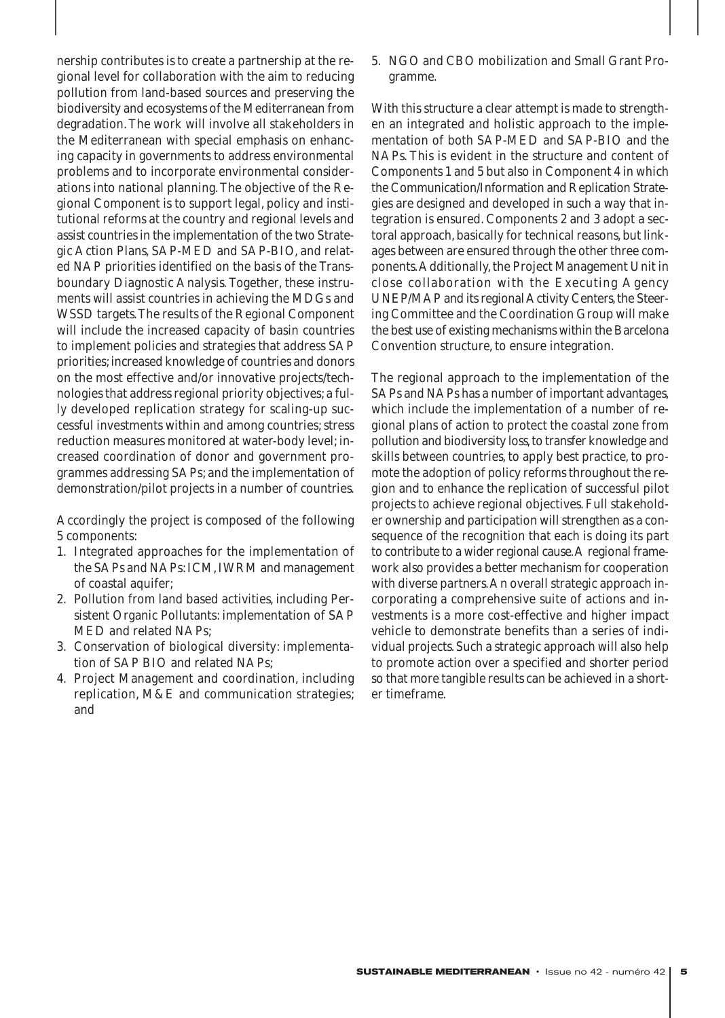nership contributes is to create a partnership at the regional level for collaboration with the aim to reducing pollution from land-based sources and preserving the biodiversity and ecosystems of the Mediterranean from degradation. The work will involve all stakeholders in the Mediterranean with special emphasis on enhancing capacity in governments to address environmental problems and to incorporate environmental considerations into national planning. The objective of the Regional Component is to support legal, policy and institutional reforms at the country and regional levels and assist countries in the implementation of the two Strategic Action Plans, SAP-MED and SAP-BIO, and related NAP priorities identified on the basis of the Transboundary Diagnostic Analysis. Together, these instruments will assist countries in achieving the MDGs and WSSD targets.The results of the Regional Component will include the increased capacity of basin countries to implement policies and strategies that address SAP priorities; increased knowledge of countries and donors on the most effective and/or innovative projects/technologies that address regional priority objectives; a fully developed replication strategy for scaling-up successful investments within and among countries; stress reduction measures monitored at water-body level; increased coordination of donor and government programmes addressing SAPs; and the implementation of demonstration/pilot projects in a number of countries.

Accordingly the project is composed of the following 5 components:

- 1. Integrated approaches for the implementation of the SAPs and NAPs: ICM, IWRM and management of coastal aquifer;
- 2. Pollution from land based activities, including Persistent Organic Pollutants: implementation of SAP MED and related NAPs;
- 3. Conservation of biological diversity: implementation of SAP BIO and related NAPs;
- 4. Project Management and coordination, including replication, M&E and communication strategies; and

5. NGO and CBO mobilization and Small Grant Programme.

With this structure a clear attempt is made to strengthen an integrated and holistic approach to the implementation of both SAP-MED and SAP-BIO and the NAPs. This is evident in the structure and content of Components 1 and 5 but also in Component 4 in which the Communication/Information and Replication Strategies are designed and developed in such a way that integration is ensured. Components 2 and 3 adopt a sectoral approach, basically for technical reasons, but linkages between are ensured through the other three components.Additionally, the Project Management Unit in close collaboration with the Executing Agency UNEP/MAP and its regional Activity Centers, the Steering Committee and the Coordination Group will make the best use of existing mechanisms within the Barcelona Convention structure, to ensure integration.

The regional approach to the implementation of the SAPs and NAPs has a number of important advantages, which include the implementation of a number of regional plans of action to protect the coastal zone from pollution and biodiversity loss, to transfer knowledge and skills between countries, to apply best practice, to promote the adoption of policy reforms throughout the region and to enhance the replication of successful pilot projects to achieve regional objectives. Full stakeholder ownership and participation will strengthen as a consequence of the recognition that each is doing its part to contribute to a wider regional cause.A regional framework also provides a better mechanism for cooperation with diverse partners.An overall strategic approach incorporating a comprehensive suite of actions and investments is a more cost-effective and higher impact vehicle to demonstrate benefits than a series of individual projects. Such a strategic approach will also help to promote action over a specified and shorter period so that more tangible results can be achieved in a shorter timeframe.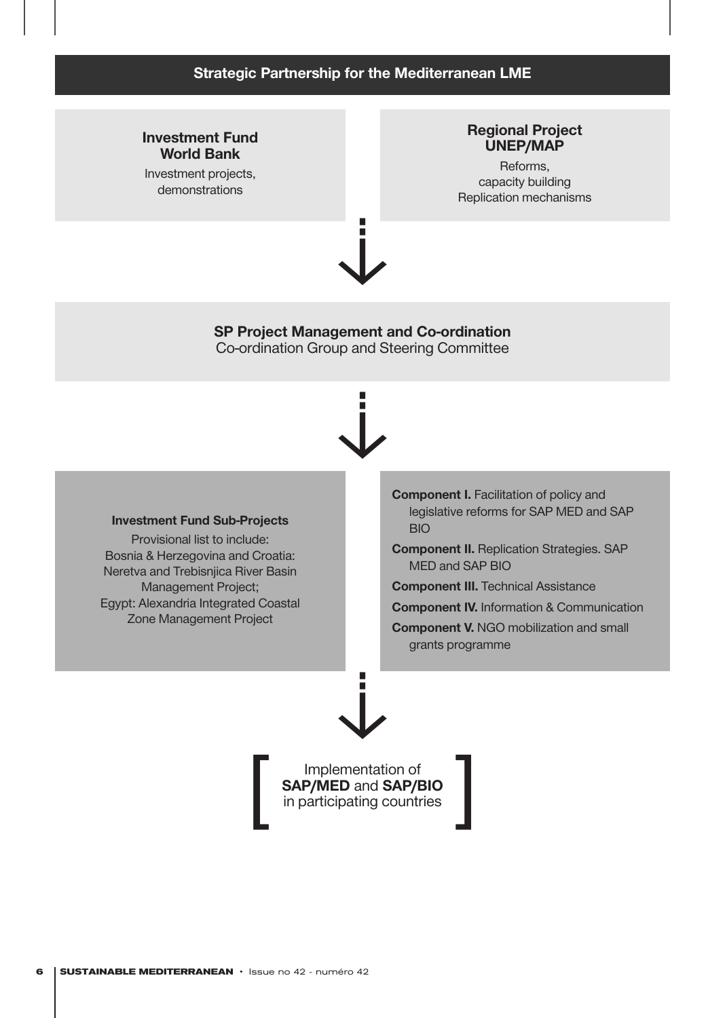## **Strategic Partnership for the Mediterranean LME**

## **Investment Fund World Bank**

Investment projects, demonstrations

## **Regional Project UNEP/MAP**

Reforms, capacity building Replication mechanisms



**SP Project Management and Co-ordination** Co-ordination Group and Steering Committee



#### **Investment Fund Sub-Projects**

Provisional list to include: Bosnia & Herzegovina and Croatia: Neretva and Trebisnjica River Basin Management Project; Egypt: Alexandria Integrated Coastal Zone Management Project

**Component I.** Facilitation of policy and legislative reforms for SAP MED and SAP BIO

**Component II.** Replication Strategies. SAP MED and SAP BIO

**Component III.** Technical Assistance

**Component IV.** Information & Communication

**Component V.** NGO mobilization and small grants programme

Implementation of **SAP/MED** and **SAP/BIO** in participating countries

 $\downarrow$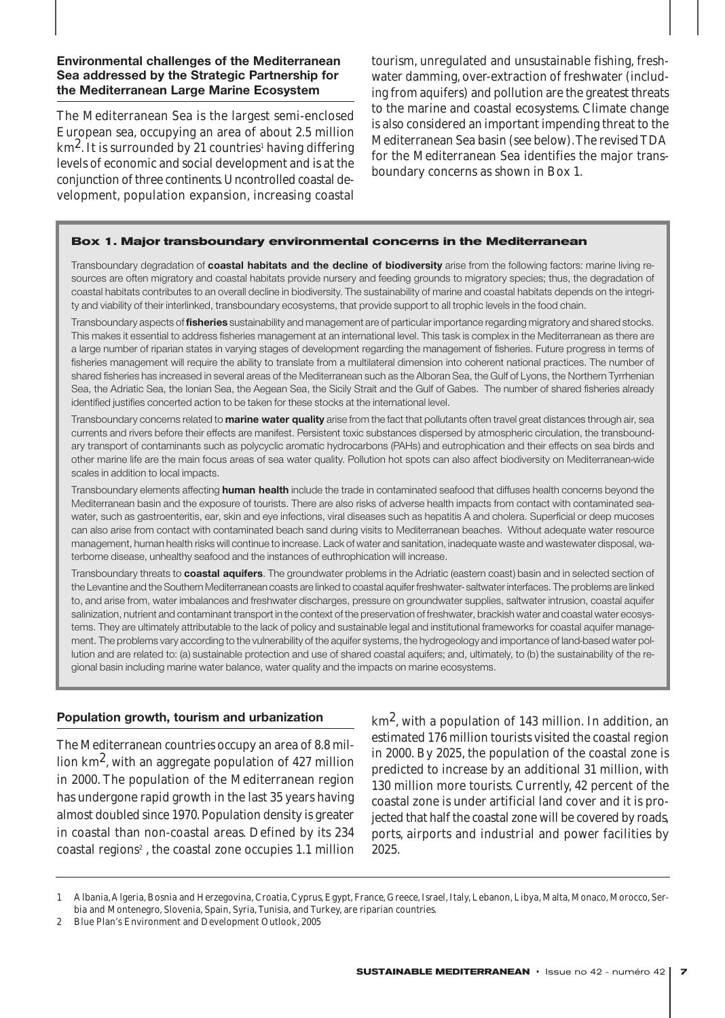**Environmental challenges of the Mediterranean Sea addressed by the Strategic Partnership for the Mediterranean Large Marine Ecosystem**

The Mediterranean Sea is the largest semi-enclosed European sea, occupying an area of about 2.5 million  $km<sup>2</sup>$ . It is surrounded by 21 countries<sup>1</sup> having differing levels of economic and social development and is at the conjunction of three continents.Uncontrolled coastal development, population expansion, increasing coastal tourism, unregulated and unsustainable fishing, freshwater damming, over-extraction of freshwater (including from aquifers) and pollution are the greatest threats to the marine and coastal ecosystems. Climate change is also considered an important impending threat to the Mediterranean Sea basin (see below).The revised TDA for the Mediterranean Sea identifies the major transboundary concerns as shown in Box 1.

#### **Box 1. Major transboundary environmental concerns in the Mediterranean**

Transboundary degradation of **coastal habitats and the decline of biodiversity** arise from the following factors: marine living resources are often migratory and coastal habitats provide nursery and feeding grounds to migratory species; thus, the degradation of coastal habitats contributes to an overall decline in biodiversity. The sustainability of marine and coastal habitats depends on the integrity and viability of their interlinked, transboundary ecosystems, that provide support to all trophic levels in the food chain.

Transboundary aspects of **fisheries** sustainability and management are of particular importance regarding migratory and shared stocks. This makes it essential to address fisheries management at an international level. This task is complex in the Mediterranean as there are a large number of riparian states in varying stages of development regarding the management of fisheries. Future progress in terms of fisheries management will require the ability to translate from a multilateral dimension into coherent national practices. The number of shared fisheries has increased in several areas of the Mediterranean such as the Alboran Sea, the Gulf of Lyons, the Northern Tyrrhenian Sea, the Adriatic Sea, the Ionian Sea, the Aegean Sea, the Sicily Strait and the Gulf of Gabes. The number of shared fisheries already identified justifies concerted action to be taken for these stocks at the international level.

Transboundary concerns related to **marine water quality** arise from the fact that pollutants often travel great distances through air, sea currents and rivers before their effects are manifest. Persistent toxic substances dispersed by atmospheric circulation, the transboundary transport of contaminants such as polycyclic aromatic hydrocarbons (PAHs) and eutrophication and their effects on sea birds and other marine life are the main focus areas of sea water quality. Pollution hot spots can also affect biodiversity on Mediterranean-wide scales in addition to local impacts.

Transboundary elements affecting **human health** include the trade in contaminated seafood that diffuses health concerns beyond the Mediterranean basin and the exposure of tourists. There are also risks of adverse health impacts from contact with contaminated seawater, such as gastroenteritis, ear, skin and eye infections, viral diseases such as hepatitis A and cholera. Superficial or deep mucoses can also arise from contact with contaminated beach sand during visits to Mediterranean beaches. Without adequate water resource management, human health risks will continue to increase. Lack of water and sanitation, inadequate waste and wastewater disposal, waterborne disease, unhealthy seafood and the instances of euthrophication will increase.

Transboundary threats to **coastal aquifers**. The groundwater problems in the Adriatic (eastern coast) basin and in selected section of the Levantine and the Southern Mediterranean coasts are linked to coastal aquifer freshwater- saltwater interfaces. The problems are linked to, and arise from, water imbalances and freshwater discharges, pressure on groundwater supplies, saltwater intrusion, coastal aquifer salinization, nutrient and contaminant transport in the context of the preservation of freshwater, brackish water and coastal water ecosystems. They are ultimately attributable to the lack of policy and sustainable legal and institutional frameworks for coastal aquifer management. The problems vary according to the vulnerability of the aquifer systems, the hydrogeology and importance of land-based water pollution and are related to: (a) sustainable protection and use of shared coastal aquifers; and, ultimately, to (b) the sustainability of the regional basin including marine water balance, water quality and the impacts on marine ecosystems.

#### **Population growth, tourism and urbanization**

The Mediterranean countries occupy an area of 8.8 million  $km^2$ , with an aggregate population of 427 million in 2000. The population of the Mediterranean region has undergone rapid growth in the last 35 years having almost doubled since 1970. Population density is greater in coastal than non-coastal areas. Defined by its 234 coastal regions<sup>2</sup>, the coastal zone occupies 1.1 million

 $km<sup>2</sup>$ , with a population of 143 million. In addition, an estimated 176 million tourists visited the coastal region in 2000. By 2025, the population of the coastal zone is predicted to increase by an additional 31 million, with 130 million more tourists. Currently, 42 percent of the coastal zone is under artificial land cover and it is projected that half the coastal zone will be covered by roads, ports, airports and industrial and power facilities by 2025.

1 Albania,Algeria, Bosnia and Herzegovina, Croatia, Cyprus, Egypt, France, Greece, Israel, Italy, Lebanon, Libya, Malta, Monaco, Morocco, Serbia and Montenegro, Slovenia, Spain, Syria, Tunisia, and Turkey, are riparian countries.

<sup>2</sup> Blue Plan's Environment and Development Outlook, 2005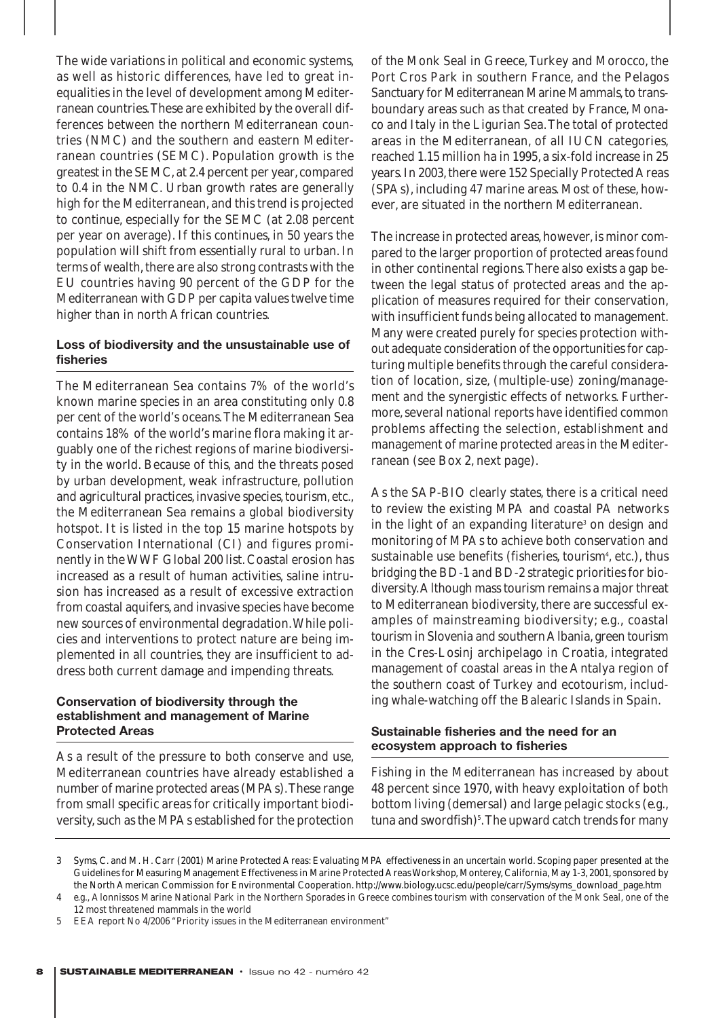The wide variations in political and economic systems, as well as historic differences, have led to great inequalities in the level of development among Mediterranean countries.These are exhibited by the overall differences between the northern Mediterranean countries (NMC) and the southern and eastern Mediterranean countries (SEMC). Population growth is the greatest in the SEMC, at 2.4 percent per year, compared to 0.4 in the NMC. Urban growth rates are generally high for the Mediterranean, and this trend is projected to continue, especially for the SEMC (at 2.08 percent per year on average). If this continues, in 50 years the population will shift from essentially rural to urban. In terms of wealth, there are also strong contrasts with the EU countries having 90 percent of the GDP for the Mediterranean with GDP per capita values twelve time higher than in north African countries.

#### **Loss of biodiversity and the unsustainable use of fisheries**

The Mediterranean Sea contains 7% of the world's known marine species in an area constituting only 0.8 per cent of the world's oceans.The Mediterranean Sea contains 18% of the world's marine flora making it arguably one of the richest regions of marine biodiversity in the world. Because of this, and the threats posed by urban development, weak infrastructure, pollution and agricultural practices, invasive species, tourism, etc., the Mediterranean Sea remains a global biodiversity hotspot. It is listed in the top 15 marine hotspots by Conservation International (CI) and figures prominently in the WWF Global 200 list. Coastal erosion has increased as a result of human activities, saline intrusion has increased as a result of excessive extraction from coastal aquifers, and invasive species have become new sources of environmental degradation.While policies and interventions to protect nature are being implemented in all countries, they are insufficient to address both current damage and impending threats.

## **Conservation of biodiversity through the establishment and management of Marine Protected Areas**

As a result of the pressure to both conserve and use, Mediterranean countries have already established a number of marine protected areas (MPAs).These range from small specific areas for critically important biodiversity, such as the MPAs established for the protection

of the Monk Seal in Greece, Turkey and Morocco, the Port Cros Park in southern France, and the Pelagos Sanctuary for Mediterranean Marine Mammals, to transboundary areas such as that created by France, Monaco and Italy in the Ligurian Sea.The total of protected areas in the Mediterranean, of all IUCN categories, reached 1.15 million ha in 1995, a six-fold increase in 25 years. In 2003, there were 152 Specially Protected Areas (SPAs), including 47 marine areas. Most of these, however, are situated in the northern Mediterranean.

The increase in protected areas, however, is minor compared to the larger proportion of protected areas found in other continental regions.There also exists a gap between the legal status of protected areas and the application of measures required for their conservation, with insufficient funds being allocated to management. Many were created purely for species protection without adequate consideration of the opportunities for capturing multiple benefits through the careful consideration of location, size, (multiple-use) zoning/management and the synergistic effects of networks. Furthermore, several national reports have identified common problems affecting the selection, establishment and management of marine protected areas in the Mediterranean (see Box 2, next page).

As the SAP-BIO clearly states, there is a critical need to review the existing MPA and coastal PA networks in the light of an expanding literature<sup>3</sup> on design and monitoring of MPAs to achieve both conservation and sustainable use benefits (fisheries, tourism<sup>4</sup>, etc.), thus bridging the BD-1 and BD-2 strategic priorities for biodiversity.Although mass tourism remains a major threat to Mediterranean biodiversity, there are successful examples of mainstreaming biodiversity; *e.g.,* coastal tourism in Slovenia and southern Albania, green tourism in the Cres-Losinj archipelago in Croatia, integrated management of coastal areas in the Antalya region of the southern coast of Turkey and ecotourism, including whale-watching off the Balearic Islands in Spain.

## **Sustainable fisheries and the need for an ecosystem approach to fisheries**

Fishing in the Mediterranean has increased by about 48 percent since 1970, with heavy exploitation of both bottom living (demersal) and large pelagic stocks (*e.g.,* tuna and swordfish)<sup>5</sup>. The upward catch trends for many

5 EEA report No 4/2006 "Priority issues in the Mediterranean environment"

<sup>3</sup> Syms, C. and M. H. Carr (2001) Marine Protected Areas: Evaluating MPA effectiveness in an uncertain world. Scoping paper presented at the Guidelines for Measuring Management Effectiveness in Marine Protected Areas Workshop, Monterey, California, May 1-3, 2001, sponsored by the North American Commission for Environmental Cooperation. http://www.biology.ucsc.edu/people/carr/Syms/syms\_download\_page.htm

<sup>4</sup> *e.g.,* Alonnissos Marine National Park in the Northern Sporades in Greece combines tourism with conservation of the Monk Seal, one of the 12 most threatened mammals in the world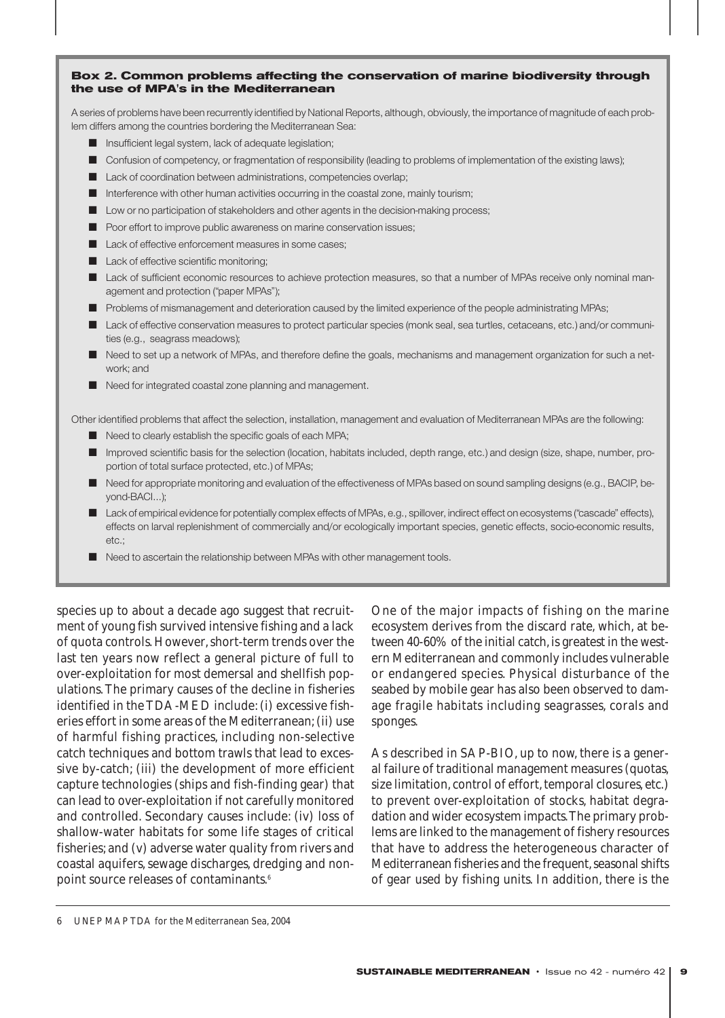#### **Box 2. Common problems affecting the conservation of marine biodiversity through the use of MPA's in the Mediterranean**

A series of problems have been recurrently identified by National Reports, although, obviously, the importance of magnitude of each problem differs among the countries bordering the Mediterranean Sea:

- Insufficient legal system, lack of adequate legislation;
- Confusion of competency, or fragmentation of responsibility (leading to problems of implementation of the existing laws);
- Lack of coordination between administrations, competencies overlap;
- Interference with other human activities occurring in the coastal zone, mainly tourism;
- Low or no participation of stakeholders and other agents in the decision-making process;
- Poor effort to improve public awareness on marine conservation issues;
- Lack of effective enforcement measures in some cases;
- Lack of effective scientific monitoring;
- Lack of sufficient economic resources to achieve protection measures, so that a number of MPAs receive only nominal management and protection ("paper MPAs");
- Problems of mismanagement and deterioration caused by the limited experience of the people administrating MPAs;
- Lack of effective conservation measures to protect particular species (monk seal, sea turtles, cetaceans, etc.) and/or communities (e.g., seagrass meadows);
- Need to set up a network of MPAs, and therefore define the goals, mechanisms and management organization for such a network; and
- Need for integrated coastal zone planning and management.

Other identified problems that affect the selection, installation, management and evaluation of Mediterranean MPAs are the following:

- Need to clearly establish the specific goals of each MPA;
- Improved scientific basis for the selection (location, habitats included, depth range, etc.) and design (size, shape, number, proportion of total surface protected, etc.) of MPAs;
- Need for appropriate monitoring and evaluation of the effectiveness of MPAs based on sound sampling designs (e.g., BACIP, beyond-BACI…);
- Lack of empirical evidence for potentially complex effects of MPAs, e.g., spillover, indirect effect on ecosystems ("cascade" effects), effects on larval replenishment of commercially and/or ecologically important species, genetic effects, socio-economic results, etc.;
- Need to ascertain the relationship between MPAs with other management tools.

species up to about a decade ago suggest that recruitment of young fish survived intensive fishing and a lack of quota controls. However, short-term trends over the last ten years now reflect a general picture of full to over-exploitation for most demersal and shellfish populations. The primary causes of the decline in fisheries identified in the TDA-MED include: (i) excessive fisheries effort in some areas of the Mediterranean; (ii) use of harmful fishing practices, including non-selective catch techniques and bottom trawls that lead to excessive by-catch; (iii) the development of more efficient capture technologies (ships and fish-finding gear) that can lead to over-exploitation if not carefully monitored and controlled. Secondary causes include: (iv) loss of shallow-water habitats for some life stages of critical fisheries; and (v) adverse water quality from rivers and coastal aquifers, sewage discharges, dredging and nonpoint source releases of contaminants.<sup>6</sup>

One of the major impacts of fishing on the marine ecosystem derives from the discard rate, which, at between 40-60% of the initial catch, is greatest in the western Mediterranean and commonly includes vulnerable or endangered species. Physical disturbance of the seabed by mobile gear has also been observed to damage fragile habitats including seagrasses, corals and sponges.

As described in SAP-BIO, up to now, there is a general failure of traditional management measures (quotas, size limitation, control of effort, temporal closures, etc.) to prevent over-exploitation of stocks, habitat degradation and wider ecosystem impacts.The primary problems are linked to the management of fishery resources that have to address the heterogeneous character of Mediterranean fisheries and the frequent, seasonal shifts of gear used by fishing units. In addition, there is the

<sup>6</sup> UNEP MAP TDA for the Mediterranean Sea, 2004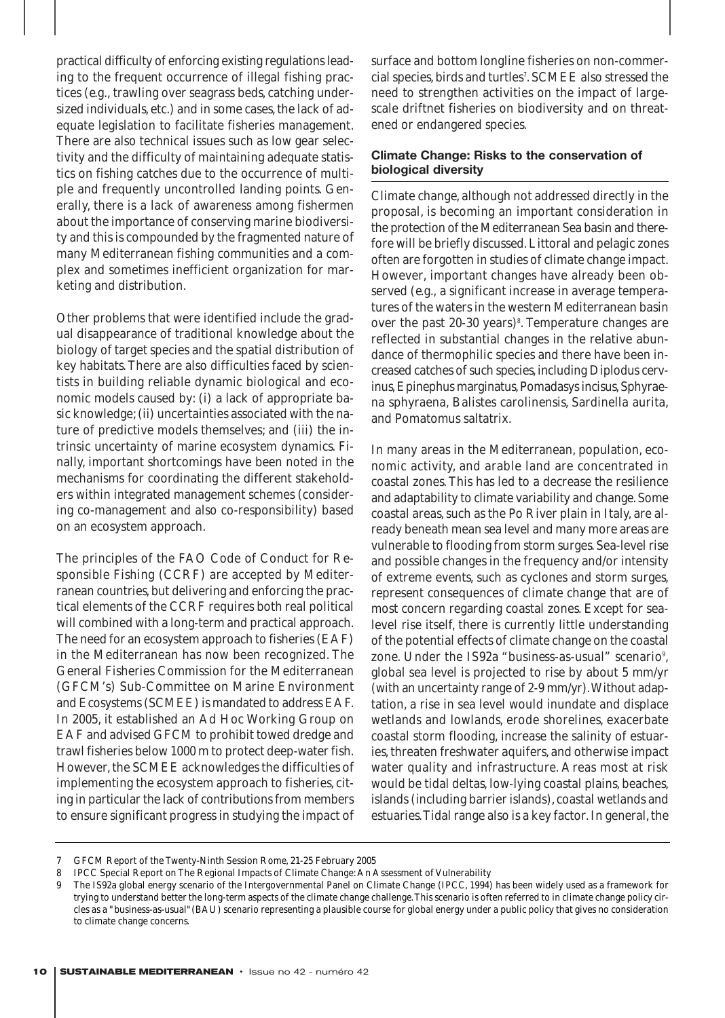practical difficulty of enforcing existing regulations leading to the frequent occurrence of illegal fishing practices (*e.g.,* trawling over seagrass beds, catching undersized individuals, etc.) and in some cases, the lack of adequate legislation to facilitate fisheries management. There are also technical issues such as low gear selectivity and the difficulty of maintaining adequate statistics on fishing catches due to the occurrence of multiple and frequently uncontrolled landing points. Generally, there is a lack of awareness among fishermen about the importance of conserving marine biodiversity and this is compounded by the fragmented nature of many Mediterranean fishing communities and a complex and sometimes inefficient organization for marketing and distribution.

Other problems that were identified include the gradual disappearance of traditional knowledge about the biology of target species and the spatial distribution of key habitats. There are also difficulties faced by scientists in building reliable dynamic biological and economic models caused by: (i) a lack of appropriate basic knowledge; (ii) uncertainties associated with the nature of predictive models themselves; and (iii) the intrinsic uncertainty of marine ecosystem dynamics. Finally, important shortcomings have been noted in the mechanisms for coordinating the different stakeholders within integrated management schemes (considering co-management and also co-responsibility) based on an ecosystem approach.

The principles of the FAO Code of Conduct for Responsible Fishing (CCRF) are accepted by Mediterranean countries, but delivering and enforcing the practical elements of the CCRF requires both real political will combined with a long-term and practical approach. The need for an ecosystem approach to fisheries (EAF) in the Mediterranean has now been recognized. The General Fisheries Commission for the Mediterranean (GFCM's) Sub-Committee on Marine Environment and Ecosystems (SCMEE) is mandated to address EAF. In 2005, it established an *Ad Hoc* Working Group on EAF and advised GFCM to prohibit towed dredge and trawl fisheries below 1000 m to protect deep-water fish. However, the SCMEE acknowledges the difficulties of implementing the ecosystem approach to fisheries, citing in particular the lack of contributions from members to ensure significant progress in studying the impact of

surface and bottom longline fisheries on non-commercial species, birds and turtles7 . SCMEE also stressed the need to strengthen activities on the impact of largescale driftnet fisheries on biodiversity and on threatened or endangered species.

## **Climate Change: Risks to the conservation of biological diversity**

Climate change, although not addressed directly in the proposal, is becoming an important consideration in the protection of the Mediterranean Sea basin and therefore will be briefly discussed. Littoral and pelagic zones often are forgotten in studies of climate change impact. However, important changes have already been observed (*e.g.,* a significant increase in average temperatures of the waters in the western Mediterranean basin over the past 20-30 years)<sup>8</sup>. Temperature changes are reflected in substantial changes in the relative abundance of thermophilic species and there have been increased catches of such species, including Diplodus cervinus, Epinephus marginatus, Pomadasys incisus, Sphyraena sphyraena, Balistes carolinensis, Sardinella aurita, and Pomatomus saltatrix.

In many areas in the Mediterranean, population, economic activity, and arable land are concentrated in coastal zones. This has led to a decrease the resilience and adaptability to climate variability and change. Some coastal areas, such as the Po River plain in Italy, are already beneath mean sea level and many more areas are vulnerable to flooding from storm surges. Sea-level rise and possible changes in the frequency and/or intensity of extreme events, such as cyclones and storm surges, represent consequences of climate change that are of most concern regarding coastal zones. Except for sealevel rise itself, there is currently little understanding of the potential effects of climate change on the coastal zone. Under the IS92a "*business-as-usual*" scenario<sup>9</sup>, global sea level is projected to rise by about 5 mm/yr (with an uncertainty range of 2-9 mm/yr).Without adaptation, a rise in sea level would inundate and displace wetlands and lowlands, erode shorelines, exacerbate coastal storm flooding, increase the salinity of estuaries, threaten freshwater aquifers, and otherwise impact water quality and infrastructure. Areas most at risk would be tidal deltas, low-lying coastal plains, beaches, islands (including barrier islands), coastal wetlands and estuaries.Tidal range also is a key factor. In general, the

<sup>7</sup> GFCM Report of the Twenty-Ninth Session Rome, 21-25 February 2005

<sup>8</sup> IPCC Special Report on The Regional Impacts of Climate Change: An Assessment of Vulnerability

<sup>9</sup> The IS92a global energy scenario of the Intergovernmental Panel on Climate Change (IPCC, 1994) has been widely used as a framework for trying to understand better the long-term aspects of the climate change challenge.This scenario is often referred to in climate change policy circles as a "business-as-usual"(BAU) scenario representing a plausible course for global energy under a public policy that gives no consideration to climate change concerns.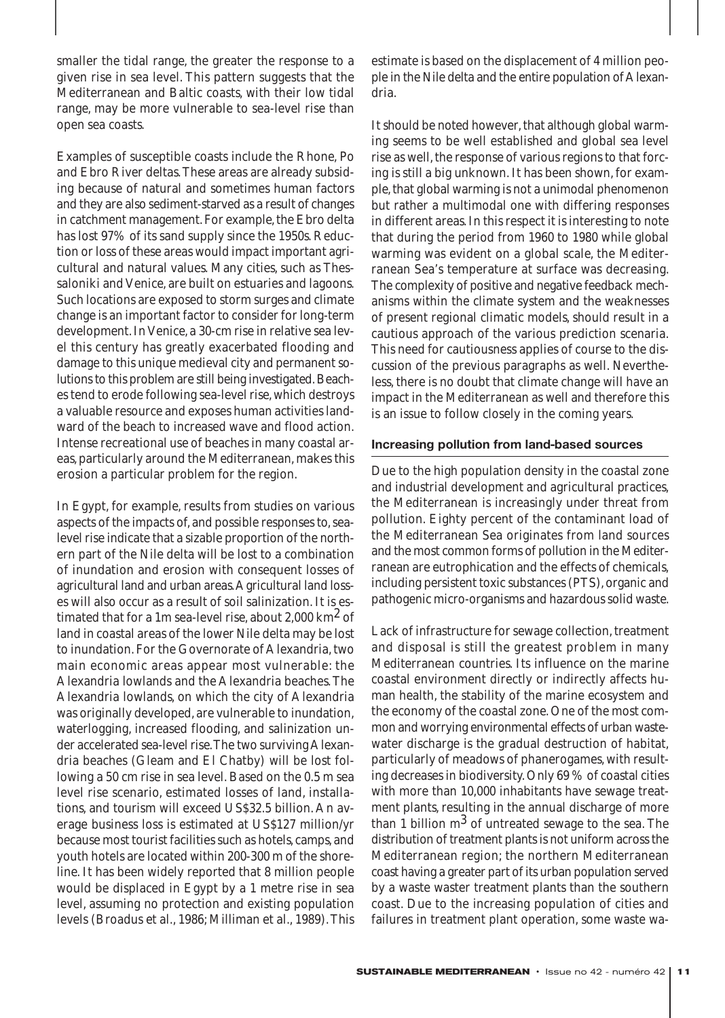smaller the tidal range, the greater the response to a given rise in sea level. This pattern suggests that the Mediterranean and Baltic coasts, with their low tidal range, may be more vulnerable to sea-level rise than open sea coasts.

Examples of susceptible coasts include the Rhone, Po and Ebro River deltas.These areas are already subsiding because of natural and sometimes human factors and they are also sediment-starved as a result of changes in catchment management. For example, the Ebro delta has lost 97% of its sand supply since the 1950s. Reduction or loss of these areas would impact important agricultural and natural values. Many cities, such as Thessaloniki and Venice, are built on estuaries and lagoons. Such locations are exposed to storm surges and climate change is an important factor to consider for long-term development. In Venice, a 30-cm rise in relative sea level this century has greatly exacerbated flooding and damage to this unique medieval city and permanent solutions to this problem are still being investigated. Beaches tend to erode following sea-level rise, which destroys a valuable resource and exposes human activities landward of the beach to increased wave and flood action. Intense recreational use of beaches in many coastal areas, particularly around the Mediterranean, makes this erosion a particular problem for the region.

In Egypt, for example, results from studies on various aspects of the impacts of, and possible responses to, sealevel rise indicate that a sizable proportion of the northern part of the Nile delta will be lost to a combination of inundation and erosion with consequent losses of agricultural land and urban areas.Agricultural land losses will also occur as a result of soil salinization. It is estimated that for a 1m sea-level rise, about 2,000  $km^2$  of land in coastal areas of the lower Nile delta may be lost to inundation. For the Governorate of Alexandria, two main economic areas appear most vulnerable: the Alexandria lowlands and the Alexandria beaches. The Alexandria lowlands, on which the city of Alexandria was originally developed, are vulnerable to inundation, waterlogging, increased flooding, and salinization under accelerated sea-level rise.The two surviving Alexandria beaches (Gleam and El Chatby) will be lost following a 50 cm rise in sea level. Based on the 0.5 m sea level rise scenario, estimated losses of land, installations, and tourism will exceed US\$32.5 billion. An average business loss is estimated at US\$127 million/yr because most tourist facilities such as hotels, camps, and youth hotels are located within 200-300 m of the shoreline. It has been widely reported that 8 million people would be displaced in Egypt by a 1 metre rise in sea level, assuming no protection and existing population levels (Broadus et al., 1986; Milliman et al., 1989). This

estimate is based on the displacement of 4 million people in the Nile delta and the entire population of Alexandria.

It should be noted however, that although global warming seems to be well established and global sea level rise as well, the response of various regions to that forcing is still a big unknown. It has been shown, for example, that global warming is not a unimodal phenomenon but rather a multimodal one with differing responses in different areas. In this respect it is interesting to note that during the period from 1960 to 1980 while global warming was evident on a global scale, the Mediterranean Sea's temperature at surface was decreasing. The complexity of positive and negative feedback mechanisms within the climate system and the weaknesses of present regional climatic models, should result in a cautious approach of the various prediction scenaria. This need for cautiousness applies of course to the discussion of the previous paragraphs as well. Nevertheless, there is no doubt that climate change will have an impact in the Mediterranean as well and therefore this is an issue to follow closely in the coming years.

#### **Increasing pollution from land-based sources**

Due to the high population density in the coastal zone and industrial development and agricultural practices, the Mediterranean is increasingly under threat from pollution. Eighty percent of the contaminant load of the Mediterranean Sea originates from land sources and the most common forms of pollution in the Mediterranean are eutrophication and the effects of chemicals, including persistent toxic substances (PTS), organic and pathogenic micro-organisms and hazardous solid waste.

Lack of infrastructure for sewage collection, treatment and disposal is still the greatest problem in many Mediterranean countries. Its influence on the marine coastal environment directly or indirectly affects human health, the stability of the marine ecosystem and the economy of the coastal zone. One of the most common and worrying environmental effects of urban wastewater discharge is the gradual destruction of habitat, particularly of meadows of phanerogames, with resulting decreases in biodiversity. Only 69 % of coastal cities with more than 10,000 inhabitants have sewage treatment plants, resulting in the annual discharge of more than 1 billion  $m^3$  of untreated sewage to the sea. The distribution of treatment plants is not uniform across the Mediterranean region; the northern Mediterranean coast having a greater part of its urban population served by a waste waster treatment plants than the southern coast. Due to the increasing population of cities and failures in treatment plant operation, some waste wa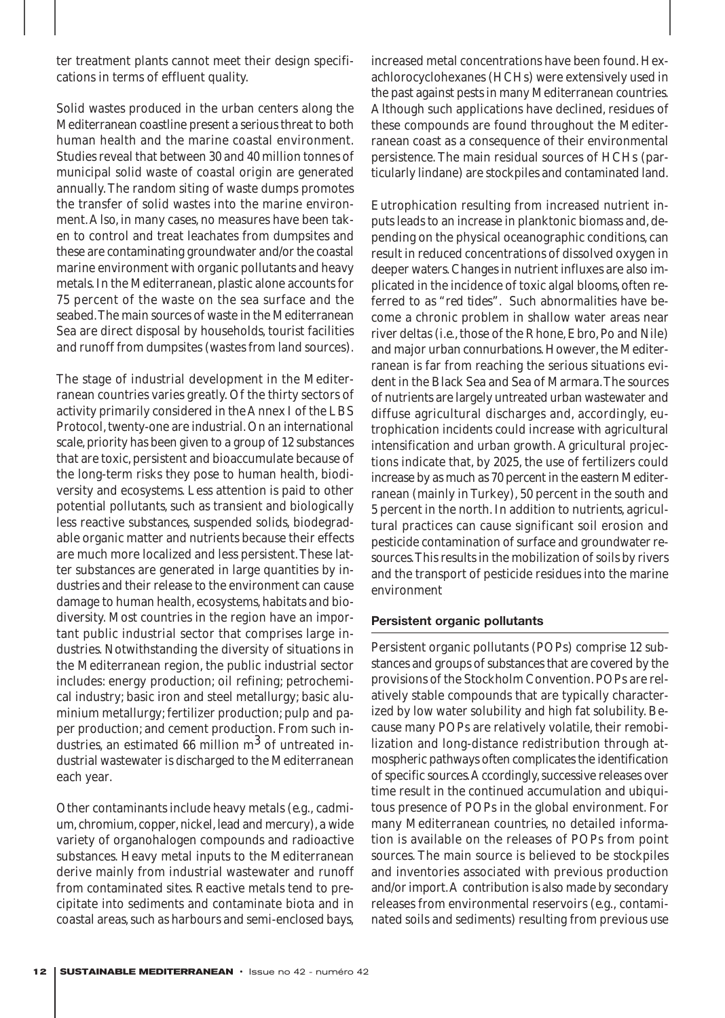ter treatment plants cannot meet their design specifications in terms of effluent quality.

Solid wastes produced in the urban centers along the Mediterranean coastline present a serious threat to both human health and the marine coastal environment. Studies reveal that between 30 and 40 million tonnes of municipal solid waste of coastal origin are generated annually. The random siting of waste dumps promotes the transfer of solid wastes into the marine environment.Also, in many cases, no measures have been taken to control and treat leachates from dumpsites and these are contaminating groundwater and/or the coastal marine environment with organic pollutants and heavy metals. In the Mediterranean, plastic alone accounts for 75 percent of the waste on the sea surface and the seabed.The main sources of waste in the Mediterranean Sea are direct disposal by households, tourist facilities and runoff from dumpsites (wastes from land sources).

The stage of industrial development in the Mediterranean countries varies greatly. Of the thirty sectors of activity primarily considered in the Annex I of the LBS Protocol, twenty-one are industrial. On an international scale, priority has been given to a group of 12 substances that are toxic, persistent and bioaccumulate because of the long-term risks they pose to human health, biodiversity and ecosystems. Less attention is paid to other potential pollutants, such as transient and biologically less reactive substances, suspended solids, biodegradable organic matter and nutrients because their effects are much more localized and less persistent.These latter substances are generated in large quantities by industries and their release to the environment can cause damage to human health, ecosystems, habitats and biodiversity. Most countries in the region have an important public industrial sector that comprises large industries. Notwithstanding the diversity of situations in the Mediterranean region, the public industrial sector includes: energy production; oil refining; petrochemical industry; basic iron and steel metallurgy; basic aluminium metallurgy; fertilizer production; pulp and paper production; and cement production. From such industries, an estimated 66 million  $m<sup>3</sup>$  of untreated industrial wastewater is discharged to the Mediterranean each year.

Other contaminants include heavy metals (*e.g.,* cadmium, chromium, copper, nickel, lead and mercury), a wide variety of organohalogen compounds and radioactive substances. Heavy metal inputs to the Mediterranean derive mainly from industrial wastewater and runoff from contaminated sites. Reactive metals tend to precipitate into sediments and contaminate biota and in coastal areas, such as harbours and semi-enclosed bays,

increased metal concentrations have been found. Hexachlorocyclohexanes (HCHs) were extensively used in the past against pests in many Mediterranean countries. Although such applications have declined, residues of these compounds are found throughout the Mediterranean coast as a consequence of their environmental persistence. The main residual sources of HCHs (particularly lindane) are stockpiles and contaminated land.

Eutrophication resulting from increased nutrient inputs leads to an increase in planktonic biomass and, depending on the physical oceanographic conditions, can result in reduced concentrations of dissolved oxygen in deeper waters. Changes in nutrient influxes are also implicated in the incidence of toxic algal blooms, often referred to as "*red tides*". Such abnormalities have become a chronic problem in shallow water areas near river deltas (*i.e.,*those of the Rhone, Ebro, Po and Nile) and major urban connurbations. However, the Mediterranean is far from reaching the serious situations evident in the Black Sea and Sea of Marmara.The sources of nutrients are largely untreated urban wastewater and diffuse agricultural discharges and, accordingly, eutrophication incidents could increase with agricultural intensification and urban growth. Agricultural projections indicate that, by 2025, the use of fertilizers could increase by as much as 70 percent in the eastern Mediterranean (mainly in Turkey), 50 percent in the south and 5 percent in the north. In addition to nutrients, agricultural practices can cause significant soil erosion and pesticide contamination of surface and groundwater resources.This results in the mobilization of soils by rivers and the transport of pesticide residues into the marine environment

#### **Persistent organic pollutants**

Persistent organic pollutants (POPs) comprise 12 substances and groups of substances that are covered by the provisions of the Stockholm Convention. POPs are relatively stable compounds that are typically characterized by low water solubility and high fat solubility. Because many POPs are relatively volatile, their remobilization and long-distance redistribution through atmospheric pathways often complicates the identification of specific sources.Accordingly, successive releases over time result in the continued accumulation and ubiquitous presence of POPs in the global environment. For many Mediterranean countries, no detailed information is available on the releases of POPs from point sources. The main source is believed to be stockpiles and inventories associated with previous production and/or import.A contribution is also made by secondary releases from environmental reservoirs (*e.g.,* contaminated soils and sediments) resulting from previous use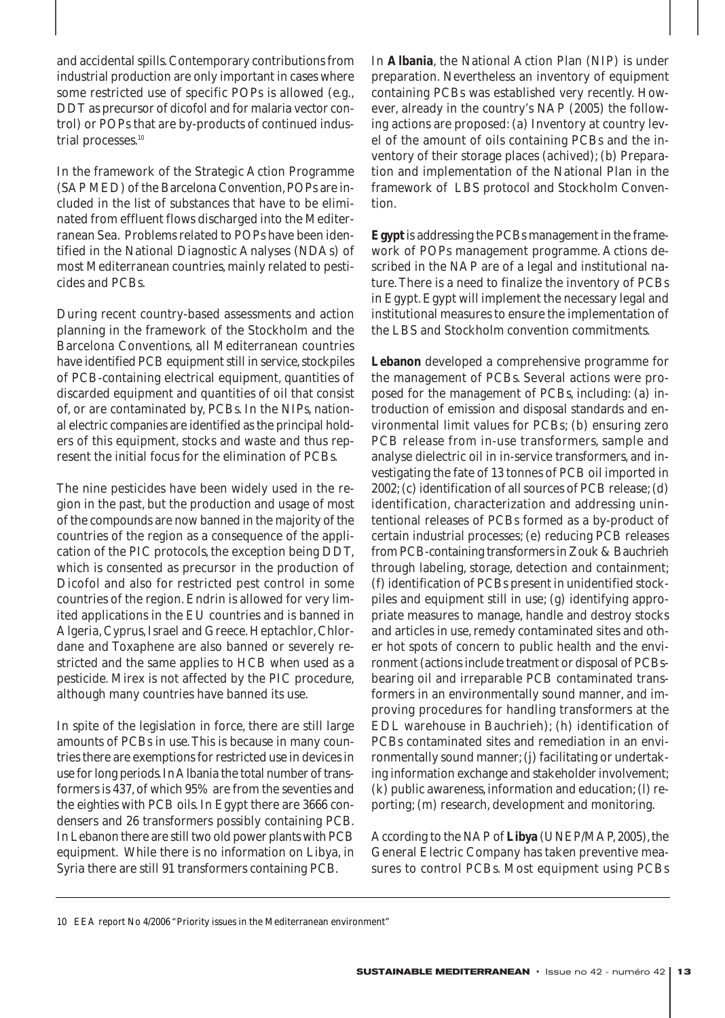and accidental spills. Contemporary contributions from industrial production are only important in cases where some restricted use of specific POPs is allowed (*e.g.,* DDT as precursor of dicofol and for malaria vector control) or POPs that are by-products of continued industrial processes.<sup>10</sup>

In the framework of the Strategic Action Programme (SAP MED) of the Barcelona Convention, POPs are included in the list of substances that have to be eliminated from effluent flows discharged into the Mediterranean Sea. Problems related to POPs have been identified in the National Diagnostic Analyses (NDAs) of most Mediterranean countries, mainly related to pesticides and PCBs.

During recent country-based assessments and action planning in the framework of the Stockholm and the Barcelona Conventions, all Mediterranean countries have identified PCB equipment still in service, stockpiles of PCB-containing electrical equipment, quantities of discarded equipment and quantities of oil that consist of, or are contaminated by, PCBs. In the NIPs, national electric companies are identified as the principal holders of this equipment, stocks and waste and thus represent the initial focus for the elimination of PCBs.

The nine pesticides have been widely used in the region in the past, but the production and usage of most of the compounds are now banned in the majority of the countries of the region as a consequence of the application of the PIC protocols, the exception being DDT, which is consented as precursor in the production of Dicofol and also for restricted pest control in some countries of the region. Endrin is allowed for very limited applications in the EU countries and is banned in Algeria, Cyprus, Israel and Greece. Heptachlor, Chlordane and Toxaphene are also banned or severely restricted and the same applies to HCB when used as a pesticide. Mirex is not affected by the PIC procedure, although many countries have banned its use.

In spite of the legislation in force, there are still large amounts of PCBs in use. This is because in many countries there are exemptions for restricted use in devices in use for long periods.In Albania the total number of transformers is 437, of which 95% are from the seventies and the eighties with PCB oils. In Egypt there are 3666 condensers and 26 transformers possibly containing PCB. In Lebanon there are still two old power plants with PCB equipment. While there is no information on Libya, in Syria there are still 91 transformers containing PCB.

In **Albania**, the National Action Plan (NIP) is under preparation. Nevertheless an inventory of equipment containing PCBs was established very recently. However, already in the country's NAP (2005) the following actions are proposed: (a) Inventory at country level of the amount of oils containing PCBs and the inventory of their storage places (achived); (b) Preparation and implementation of the National Plan in the framework of LBS protocol and Stockholm Convention.

**Egypt** is addressing the PCBs management in the framework of POPs management programme. Actions described in the NAP are of a legal and institutional nature. There is a need to finalize the inventory of PCBs in Egypt. Egypt will implement the necessary legal and institutional measures to ensure the implementation of the LBS and Stockholm convention commitments.

**Lebanon** developed a comprehensive programme for the management of PCBs. Several actions were proposed for the management of PCBs, including: (a) introduction of emission and disposal standards and environmental limit values for PCBs; (b) ensuring zero PCB release from in-use transformers, sample and analyse dielectric oil in in-service transformers, and investigating the fate of 13 tonnes of PCB oil imported in 2002; (c) identification of all sources of PCB release; (d) identification, characterization and addressing unintentional releases of PCBs formed as a by-product of certain industrial processes; (e) reducing PCB releases from PCB-containing transformers in Zouk & Bauchrieh through labeling, storage, detection and containment; (f) identification of PCBs present in unidentified stockpiles and equipment still in use; (g) identifying appropriate measures to manage, handle and destroy stocks and articles in use, remedy contaminated sites and other hot spots of concern to public health and the environment (actions include treatment or disposal of PCBsbearing oil and irreparable PCB contaminated transformers in an environmentally sound manner, and improving procedures for handling transformers at the EDL warehouse in Bauchrieh); (h) identification of PCBs contaminated sites and remediation in an environmentally sound manner; (j) facilitating or undertaking information exchange and stakeholder involvement; (k) public awareness, information and education; (l) reporting; (m) research, development and monitoring.

According to the NAP of **Libya** (UNEP/MAP, 2005), the General Electric Company has taken preventive measures to control PCBs. Most equipment using PCBs

<sup>10</sup> EEA report No 4/2006 "Priority issues in the Mediterranean environment"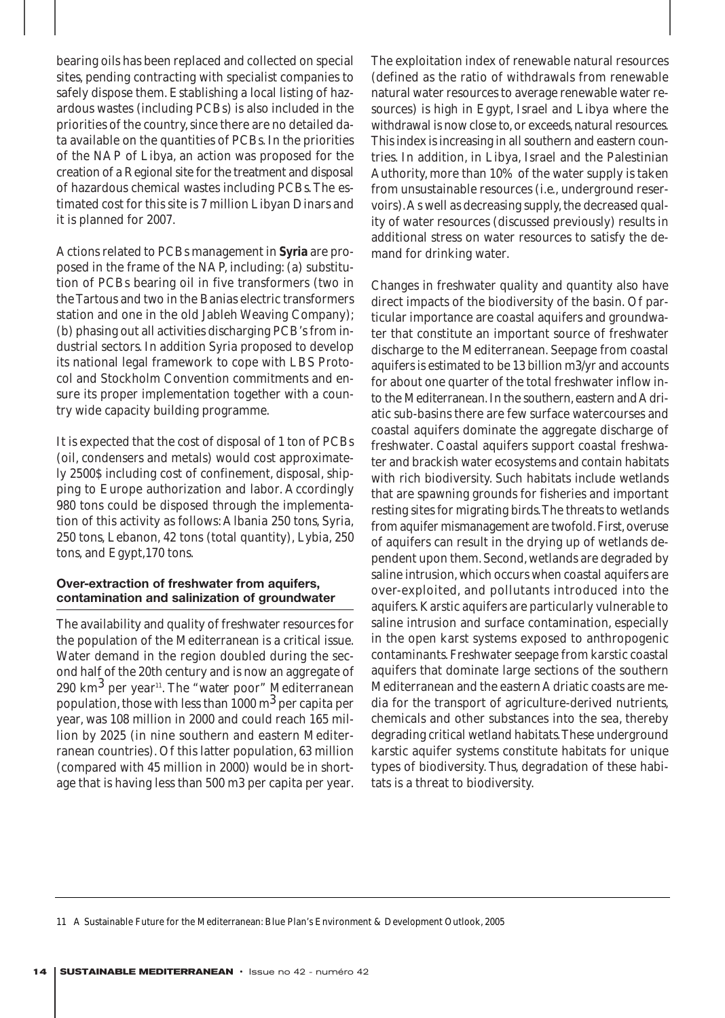bearing oils has been replaced and collected on special sites, pending contracting with specialist companies to safely dispose them. Establishing a local listing of hazardous wastes (including PCBs) is also included in the priorities of the country, since there are no detailed data available on the quantities of PCBs. In the priorities of the NAP of Libya, an action was proposed for the creation of a Regional site for the treatment and disposal of hazardous chemical wastes including PCBs. The estimated cost for this site is 7 million Libyan Dinars and it is planned for 2007.

Actions related to PCBs management in **Syria** are proposed in the frame of the NAP, including: (a) substitution of PCBs bearing oil in five transformers (two in the Tartous and two in the Banias electric transformers station and one in the old Jableh Weaving Company); (b) phasing out all activities discharging PCB's from industrial sectors. In addition Syria proposed to develop its national legal framework to cope with LBS Protocol and Stockholm Convention commitments and ensure its proper implementation together with a country wide capacity building programme.

It is expected that the cost of disposal of 1 ton of PCBs (oil, condensers and metals) would cost approximately 2500\$ including cost of confinement, disposal, shipping to Europe authorization and labor. Accordingly 980 tons could be disposed through the implementation of this activity as follows: Albania 250 tons, Syria, 250 tons, Lebanon, 42 tons (total quantity), Lybia, 250 tons, and Egypt,170 tons.

## **Over-extraction of freshwater from aquifers, contamination and salinization of groundwater**

The availability and quality of freshwater resources for the population of the Mediterranean is a critical issue. Water demand in the region doubled during the second half of the 20th century and is now an aggregate of 290 km<sup>3</sup> per year<sup>11</sup>. The "*water poor*" Mediterranean population, those with less than 1000  $\mathrm{m}^{3}$  per capita per year, was 108 million in 2000 and could reach 165 million by 2025 (in nine southern and eastern Mediterranean countries). Of this latter population, 63 million (compared with 45 million in 2000) would be in shortage that is having less than 500 m3 per capita per year.

The exploitation index of renewable natural resources (defined as the ratio of withdrawals from renewable natural water resources to average renewable water resources) is high in Egypt, Israel and Libya where the withdrawal is now close to, or exceeds, natural resources. This index is increasing in all southern and eastern countries. In addition, in Libya, Israel and the Palestinian Authority, more than 10% of the water supply is taken from unsustainable resources (*i.e.,* underground reservoirs).As well as decreasing supply, the decreased quality of water resources (discussed previously) results in additional stress on water resources to satisfy the demand for drinking water.

Changes in freshwater quality and quantity also have direct impacts of the biodiversity of the basin. Of particular importance are coastal aquifers and groundwater that constitute an important source of freshwater discharge to the Mediterranean. Seepage from coastal aquifers is estimated to be 13 billion m3/yr and accounts for about one quarter of the total freshwater inflow into the Mediterranean. In the southern, eastern and Adriatic sub-basins there are few surface watercourses and coastal aquifers dominate the aggregate discharge of freshwater. Coastal aquifers support coastal freshwater and brackish water ecosystems and contain habitats with rich biodiversity. Such habitats include wetlands that are spawning grounds for fisheries and important resting sites for migrating birds.The threats to wetlands from aquifer mismanagement are twofold. First, overuse of aquifers can result in the drying up of wetlands dependent upon them. Second, wetlands are degraded by saline intrusion, which occurs when coastal aquifers are over-exploited, and pollutants introduced into the aquifers. Karstic aquifers are particularly vulnerable to saline intrusion and surface contamination, especially in the open karst systems exposed to anthropogenic contaminants. Freshwater seepage from karstic coastal aquifers that dominate large sections of the southern Mediterranean and the eastern Adriatic coasts are media for the transport of agriculture-derived nutrients, chemicals and other substances into the sea, thereby degrading critical wetland habitats.These underground karstic aquifer systems constitute habitats for unique types of biodiversity. Thus, degradation of these habitats is a threat to biodiversity.

11 A Sustainable Future for the Mediterranean: Blue Plan's Environment & Development Outlook, 2005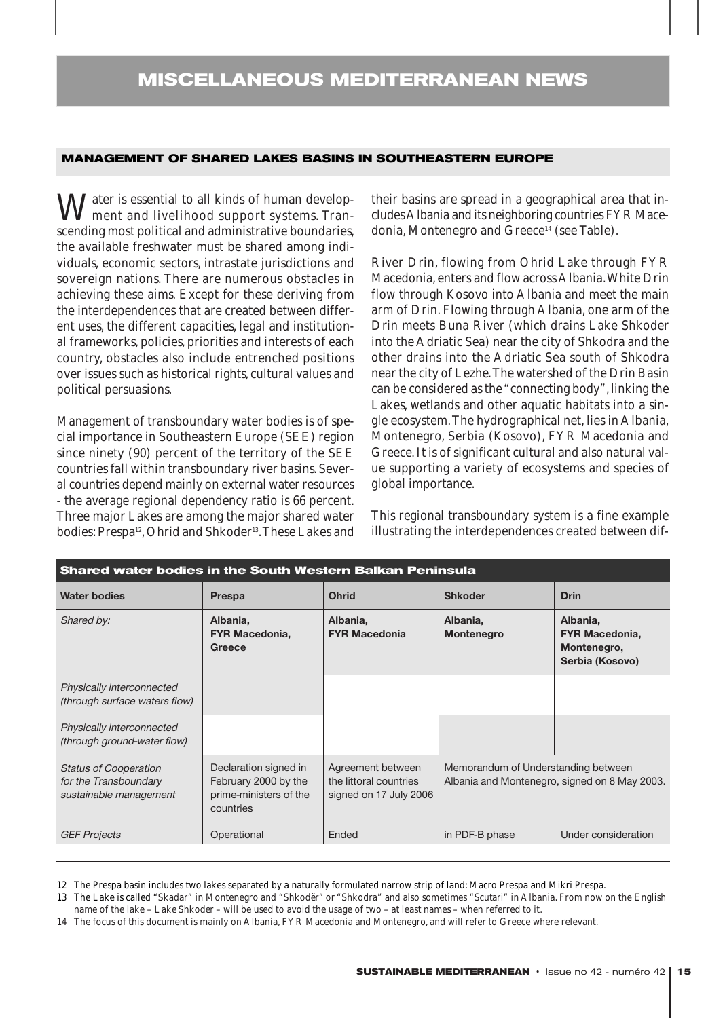## **MANAGEMENT OF SHARED LAKES BASINS IN SOUTHEASTERN EUROPE**

 $\bf{M}$ <sup>ater</sup> is essential to all kinds of human development and livelihood support systems. Transcending most political and administrative boundaries, the available freshwater must be shared among individuals, economic sectors, intrastate jurisdictions and sovereign nations. There are numerous obstacles in achieving these aims. Except for these deriving from the interdependences that are created between different uses, the different capacities, legal and institutional frameworks, policies, priorities and interests of each country, obstacles also include entrenched positions over issues such as historical rights, cultural values and political persuasions.

Management of transboundary water bodies is of special importance in Southeastern Europe (SEE) region since ninety (90) percent of the territory of the SEE countries fall within transboundary river basins. Several countries depend mainly on external water resources - the average regional dependency ratio is 66 percent. Three major Lakes are among the major shared water bodies: Prespa<sup>12</sup>, Ohrid and Shkoder<sup>13</sup>. These Lakes and

their basins are spread in a geographical area that includes Albania and its neighboring countries FYR Macedonia, Montenegro and Greece<sup>14</sup> (see Table).

River Drin, flowing from Ohrid Lake through FYR Macedonia, enters and flow across Albania.White Drin flow through Kosovo into Albania and meet the main arm of Drin. Flowing through Albania, one arm of the Drin meets Buna River (which drains Lake Shkoder into the Adriatic Sea) near the city of Shkodra and the other drains into the Adriatic Sea south of Shkodra near the city of Lezhe.The watershed of the Drin Basin can be considered as the "connecting body", linking the Lakes, wetlands and other aquatic habitats into a single ecosystem.The hydrographical net, lies in Albania, Montenegro, Serbia (Kosovo), FYR Macedonia and Greece. It is of significant cultural and also natural value supporting a variety of ecosystems and species of global importance.

This regional transboundary system is a fine example illustrating the interdependences created between dif-

| <b>Ohrid</b><br>Albania,                                              | <b>Shkoder</b>                                                                       | <b>Drin</b>                                                         |
|-----------------------------------------------------------------------|--------------------------------------------------------------------------------------|---------------------------------------------------------------------|
|                                                                       |                                                                                      |                                                                     |
| <b>FYR Macedonia</b>                                                  | Albania,<br>Montenegro                                                               | Albania,<br><b>FYR Macedonia,</b><br>Montenegro,<br>Serbia (Kosovo) |
|                                                                       |                                                                                      |                                                                     |
|                                                                       |                                                                                      |                                                                     |
| Agreement between<br>the littoral countries<br>signed on 17 July 2006 | Memorandum of Understanding between<br>Albania and Montenegro, signed on 8 May 2003. |                                                                     |
| Ended                                                                 | in PDF-B phase                                                                       | Under consideration                                                 |
|                                                                       |                                                                                      |                                                                     |

12 The Prespa basin includes two lakes separated by a naturally formulated narrow strip of land: Macro Prespa and Mikri Prespa.

13 The Lake is called *"Skadar"* in Montenegro and *"Shkodër"* or "*Shkodra"* and also sometimes *"Scutari"* in Albania. From now on the English name of the lake – *Lake Shkoder* – will be used to avoid the usage of two – at least names – when referred to it.

14 The focus of this document is mainly on Albania, FYR Macedonia and Montenegro, and will refer to Greece where relevant.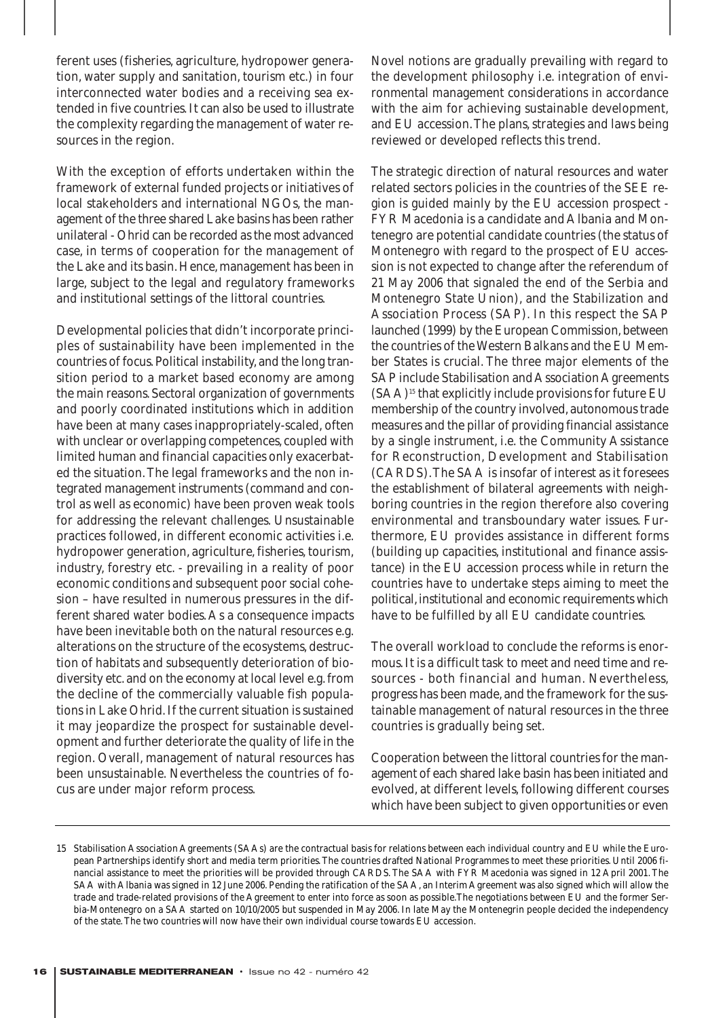ferent uses (fisheries, agriculture, hydropower generation, water supply and sanitation, tourism etc.) in four interconnected water bodies and a receiving sea extended in five countries. It can also be used to illustrate the complexity regarding the management of water resources in the region.

With the exception of efforts undertaken within the framework of external funded projects or initiatives of local stakeholders and international NGOs, the management of the three shared Lake basins has been rather unilateral - Ohrid can be recorded as the most advanced case, in terms of cooperation for the management of the Lake and its basin. Hence, management has been in large, subject to the legal and regulatory frameworks and institutional settings of the littoral countries.

Developmental policies that didn't incorporate principles of sustainability have been implemented in the countries of focus. Political instability, and the long transition period to a market based economy are among the main reasons. Sectoral organization of governments and poorly coordinated institutions which in addition have been at many cases inappropriately-scaled, often with unclear or overlapping competences, coupled with limited human and financial capacities only exacerbated the situation. The legal frameworks and the non integrated management instruments (command and control as well as economic) have been proven weak tools for addressing the relevant challenges. Unsustainable practices followed, in different economic activities i.e. hydropower generation, agriculture, fisheries, tourism, industry, forestry etc. - prevailing in a reality of poor economic conditions and subsequent poor social cohesion – have resulted in numerous pressures in the different shared water bodies. As a consequence impacts have been inevitable both on the natural resources e.g. alterations on the structure of the ecosystems, destruction of habitats and subsequently deterioration of biodiversity etc. and on the economy at local level e.g. from the decline of the commercially valuable fish populations in Lake Ohrid. If the current situation is sustained it may jeopardize the prospect for sustainable development and further deteriorate the quality of life in the region. Overall, management of natural resources has been unsustainable. Nevertheless the countries of focus are under major reform process.

Novel notions are gradually prevailing with regard to the development philosophy i.e. integration of environmental management considerations in accordance with the aim for achieving sustainable development, and EU accession.The plans, strategies and laws being reviewed or developed reflects this trend.

The strategic direction of natural resources and water related sectors policies in the countries of the SEE region is guided mainly by the EU accession prospect - FYR Macedonia is a candidate and Albania and Montenegro are potential candidate countries (the status of Montenegro with regard to the prospect of EU accession is not expected to change after the referendum of 21 May 2006 that signaled the end of the Serbia and Montenegro State Union), and the Stabilization and Association Process (SAP). In this respect the SAP launched (1999) by the European Commission, between the countries of the Western Balkans and the EU Member States is crucial. The three major elements of the SAP include Stabilisation and Association Agreements (SAA)15 that explicitly include provisions for future EU membership of the country involved, autonomous trade measures and the pillar of providing financial assistance by a single instrument, i.e. the Community Assistance for Reconstruction, Development and Stabilisation (CARDS).The SAA is insofar of interest as it foresees the establishment of bilateral agreements with neighboring countries in the region therefore also covering environmental and transboundary water issues. Furthermore, EU provides assistance in different forms (building up capacities, institutional and finance assistance) in the EU accession process while in return the countries have to undertake steps aiming to meet the political, institutional and economic requirements which have to be fulfilled by all EU candidate countries.

The overall workload to conclude the reforms is enormous. It is a difficult task to meet and need time and resources - both financial and human. Nevertheless, progress has been made, and the framework for the sustainable management of natural resources in the three countries is gradually being set.

Cooperation between the littoral countries for the management of each shared lake basin has been initiated and evolved, at different levels, following different courses which have been subject to given opportunities or even

<sup>15</sup> Stabilisation Association Agreements (SAAs) are the contractual basis for relations between each individual country and EU while the European Partnerships identify short and media term priorities. The countries drafted National Programmes to meet these priorities. Until 2006 financial assistance to meet the priorities will be provided through CARDS. The SAA with FYR Macedonia was signed in 12 April 2001. The SAA with Albania was signed in 12 June 2006. Pending the ratification of the SAA, an Interim Agreement was also signed which will allow the trade and trade-related provisions of the Agreement to enter into force as soon as possible.The negotiations between EU and the former Serbia-Montenegro on a SAA started on 10/10/2005 but suspended in May 2006. In late May the Montenegrin people decided the independency of the state. The two countries will now have their own individual course towards EU accession.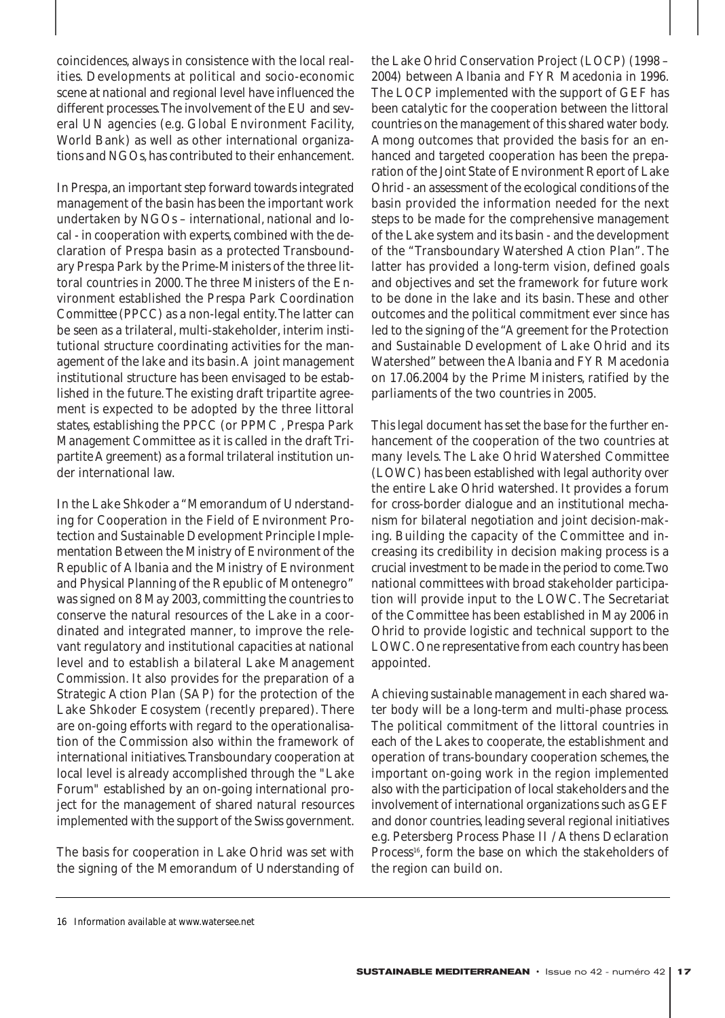coincidences, always in consistence with the local realities. Developments at political and socio-economic scene at national and regional level have influenced the different processes.The involvement of the EU and several UN agencies (e.g. Global Environment Facility, World Bank) as well as other international organizations and NGOs, has contributed to their enhancement.

In Prespa, an important step forward towards integrated management of the basin has been the important work undertaken by NGOs – international, national and local - in cooperation with experts, combined with the declaration of Prespa basin as a protected Transboundary Prespa Park by the Prime-Ministers of the three littoral countries in 2000. The three Ministers of the Environment established the *Prespa Park Coordination Committee* (PPCC) as a non-legal entity.The latter can be seen as a trilateral, multi-stakeholder, interim institutional structure coordinating activities for the management of the lake and its basin.A joint management institutional structure has been envisaged to be established in the future. The existing draft tripartite agreement is expected to be adopted by the three littoral states, establishing the PPCC (or PPMC , Prespa Park Management Committee as it is called in the draft Tripartite Agreement) as a formal trilateral institution under international law.

In the Lake Shkoder a "Memorandum of Understanding for Cooperation in the Field of Environment Protection and Sustainable Development Principle Implementation Between the Ministry of Environment of the Republic of Albania and the Ministry of Environment and Physical Planning of the Republic of Montenegro" was signed on 8 May 2003, committing the countries to conserve the natural resources of the Lake in a coordinated and integrated manner, to improve the relevant regulatory and institutional capacities at national level and to establish a bilateral Lake Management Commission. It also provides for the preparation of a Strategic Action Plan (SAP) for the protection of the Lake Shkoder Ecosystem (recently prepared). There are on-going efforts with regard to the operationalisation of the Commission also within the framework of international initiatives.Transboundary cooperation at local level is already accomplished through the "Lake Forum" established by an on-going international project for the management of shared natural resources implemented with the support of the Swiss government.

The basis for cooperation in Lake Ohrid was set with the signing of the Memorandum of Understanding of the Lake Ohrid Conservation Project (LOCP) (1998 – 2004) between Albania and FYR Macedonia in 1996. The LOCP implemented with the support of GEF has been catalytic for the cooperation between the littoral countries on the management of this shared water body. Among outcomes that provided the basis for an enhanced and targeted cooperation has been the preparation of the Joint State of Environment Report of Lake Ohrid - an assessment of the ecological conditions of the basin provided the information needed for the next steps to be made for the comprehensive management of the Lake system and its basin - and the development of the "Transboundary Watershed Action Plan". The latter has provided a long-term vision, defined goals and objectives and set the framework for future work to be done in the lake and its basin. These and other outcomes and the political commitment ever since has led to the signing of the "Agreement for the Protection and Sustainable Development of Lake Ohrid and its Watershed" between the Albania and FYR Macedonia on 17.06.2004 by the Prime Ministers, ratified by the parliaments of the two countries in 2005.

This legal document has set the base for the further enhancement of the cooperation of the two countries at many levels. The Lake Ohrid Watershed Committee (LOWC) has been established with legal authority over the entire Lake Ohrid watershed. It provides a forum for cross-border dialogue and an institutional mechanism for bilateral negotiation and joint decision-making. Building the capacity of the Committee and increasing its credibility in decision making process is a crucial investment to be made in the period to come.Two national committees with broad stakeholder participation will provide input to the LOWC. The Secretariat of the Committee has been established in May 2006 in Ohrid to provide logistic and technical support to the LOWC. One representative from each country has been appointed.

Achieving sustainable management in each shared water body will be a long-term and multi-phase process. The political commitment of the littoral countries in each of the Lakes to cooperate, the establishment and operation of trans-boundary cooperation schemes, the important on-going work in the region implemented also with the participation of local stakeholders and the involvement of international organizations such as GEF and donor countries, leading several regional initiatives e.g. Petersberg Process Phase II / Athens Declaration Process<sup>16</sup>, form the base on which the stakeholders of the region can build on.

<sup>16</sup> Information available at www.watersee.net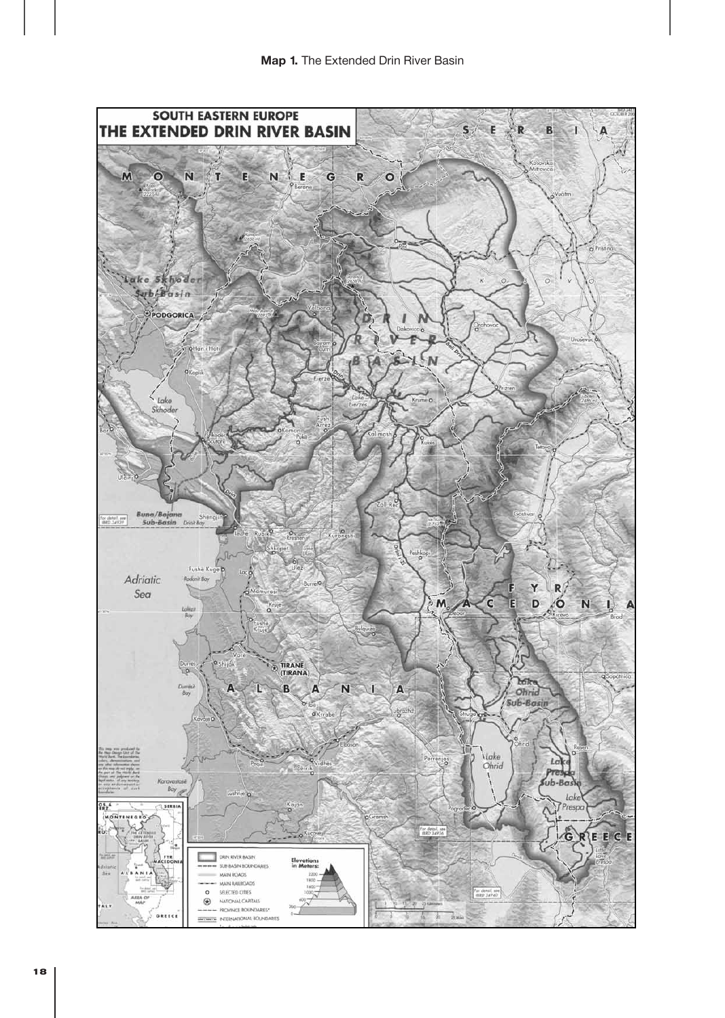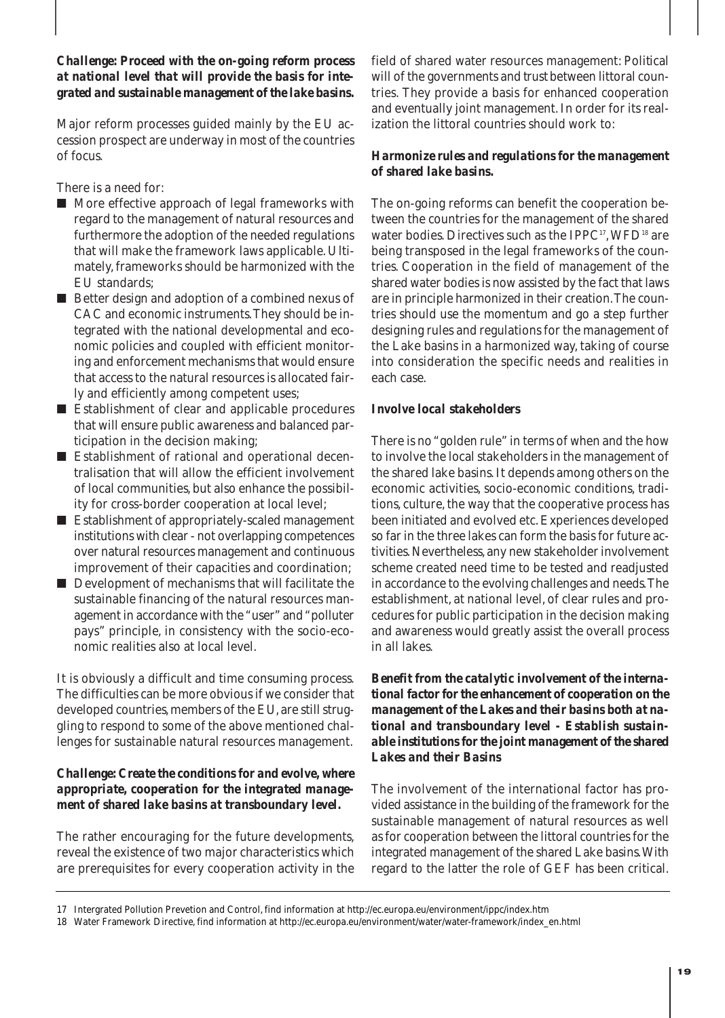## *Challenge: Proceed with the on-going reform process at national level that will provide the basis for integrated and sustainable management of the lake basins.*

Major reform processes guided mainly by the EU accession prospect are underway in most of the countries of focus.

There is a need for:

- More effective approach of legal frameworks with regard to the management of natural resources and furthermore the adoption of the needed regulations that will make the framework laws applicable. Ultimately, frameworks should be harmonized with the EU standards;
- Better design and adoption of a combined nexus of CAC and economic instruments.They should be integrated with the national developmental and economic policies and coupled with efficient monitoring and enforcement mechanisms that would ensure that access to the natural resources is allocated fairly and efficiently among competent uses;
- Establishment of clear and applicable procedures that will ensure public awareness and balanced participation in the decision making;
- Establishment of rational and operational decentralisation that will allow the efficient involvement of local communities, but also enhance the possibility for cross-border cooperation at local level;
- Establishment of appropriately-scaled management institutions with clear - not overlapping competences over natural resources management and continuous improvement of their capacities and coordination;
- Development of mechanisms that will facilitate the sustainable financing of the natural resources management in accordance with the "user" and "polluter pays" principle, in consistency with the socio-economic realities also at local level.

It is obviously a difficult and time consuming process. The difficulties can be more obvious if we consider that developed countries, members of the EU, are still struggling to respond to some of the above mentioned challenges for sustainable natural resources management.

## *Challenge: Create the conditions for and evolve, where appropriate, cooperation for the integrated management of shared lake basins at transboundary level.*

The rather encouraging for the future developments, reveal the existence of two major characteristics which are prerequisites for every cooperation activity in the field of shared water resources management: *Political will* of the governments and *trust* between littoral countries*.* They provide a basis for enhanced cooperation and eventually joint management. In order for its realization the littoral countries should work to:

## *Harmonize rules and regulations for the management of shared lake basins.*

The on-going reforms can benefit the cooperation between the countries for the management of the shared water bodies. Directives such as the IPPC<sup>17</sup>, WFD<sup>18</sup> are being transposed in the legal frameworks of the countries. Cooperation in the field of management of the shared water bodies is now assisted by the fact that laws are in principle harmonized in their creation.The countries should use the momentum and go a step further designing rules and regulations for the management of the Lake basins in a harmonized way, taking of course into consideration the specific needs and realities in each case.

## *Involve local stakeholders*

There is no "golden rule" in terms of when and the how to involve the local stakeholders in the management of the shared lake basins. It depends among others on the economic activities, socio-economic conditions, traditions, culture, the way that the cooperative process has been initiated and evolved etc. Experiences developed so far in the three lakes can form the basis for future activities. Nevertheless, any new stakeholder involvement scheme created need time to be tested and readjusted in accordance to the evolving challenges and needs.The establishment, at national level, of clear rules and procedures for public participation in the decision making and awareness would greatly assist the overall process in all lakes.

*Benefit from the catalytic involvement of the international factor for the enhancement of cooperation on the management of the Lakes and their basins both at national and transboundary level - Establish sustainable institutions for the joint management of the shared Lakes and their Basins*

The involvement of the international factor has provided assistance in the building of the framework for the sustainable management of natural resources as well as for cooperation between the littoral countries for the integrated management of the shared Lake basins.With regard to the latter the role of GEF has been critical.

<sup>17</sup> Intergrated Pollution Prevetion and Control, find information at http://ec.europa.eu/environment/ippc/index.htm

<sup>18</sup> Water Framework Directive, find information at http://ec.europa.eu/environment/water/water-framework/index\_en.html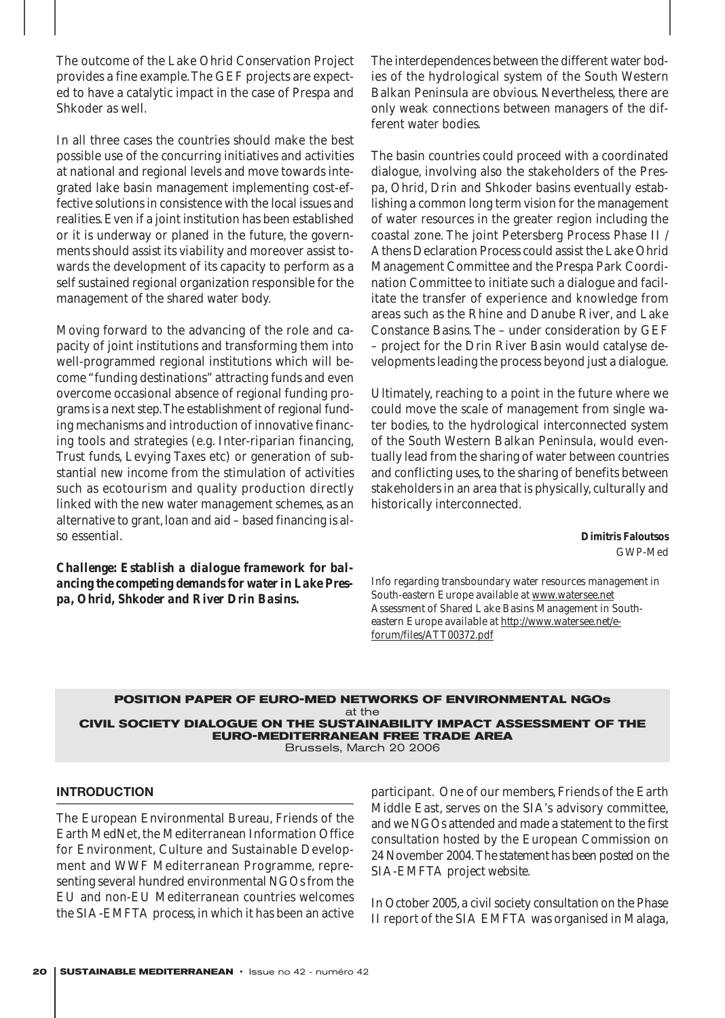The outcome of the Lake Ohrid Conservation Project provides a fine example.The GEF projects are expected to have a catalytic impact in the case of Prespa and Shkoder as well.

In all three cases the countries should make the best possible use of the concurring initiatives and activities at national and regional levels and move towards integrated lake basin management implementing cost-effective solutions in consistence with the local issues and realities. Even if a joint institution has been established or it is underway or planed in the future, the governments should assist its viability and moreover assist towards the development of its capacity to perform as a self sustained regional organization responsible for the management of the shared water body.

Moving forward to the advancing of the role and capacity of joint institutions and transforming them into well-programmed regional institutions which will become "funding destinations" attracting funds and even overcome occasional absence of regional funding programs is a next step.The establishment of regional funding mechanisms and introduction of innovative financing tools and strategies (e.g. Inter-riparian financing, Trust funds, Levying Taxes etc) or generation of substantial new income from the stimulation of activities such as ecotourism and quality production directly linked with the new water management schemes, as an alternative to grant, loan and aid – based financing is also essential.

*Challenge: Establish a dialogue framework for balancing the competing demands for water in Lake Prespa, Ohrid, Shkoder and River Drin Basins.*

The interdependences between the different water bodies of the hydrological system of the South Western Balkan Peninsula are obvious. Nevertheless, there are only weak connections between managers of the different water bodies.

The basin countries could proceed with a coordinated dialogue, involving also the stakeholders of the Prespa, Ohrid, Drin and Shkoder basins eventually establishing a common long term vision for the management of water resources in the greater region including the coastal zone. The joint Petersberg Process Phase II / Athens Declaration Process could assist the Lake Ohrid Management Committee and the Prespa Park Coordination Committee to initiate such a dialogue and facilitate the transfer of experience and knowledge from areas such as the Rhine and Danube River, and Lake Constance Basins. The – under consideration by GEF – project for the Drin River Basin would catalyse developments leading the process beyond just a dialogue.

Ultimately, reaching to a point in the future where we could move the scale of management from single water bodies, to the hydrological interconnected system of the South Western Balkan Peninsula, would eventually lead from the sharing of water between countries and conflicting uses, to the sharing of benefits between stakeholders in an area that is physically, culturally and historically interconnected.

#### **Dimitris Faloutsos** GWP-Med

*Info regarding transboundary water resources management in South-eastern Europe available at www.watersee.net Assessment of Shared Lake Basins Management in Southeastern Europe available at http://www.watersee.net/eforum/files/ATT00372.pdf*

## **POSITION PAPER OF EURO-MED NETWORKS OF ENVIRONMENTAL NGOs** at the **CIVIL SOCIETY DIALOGUE ON THE SUSTAINABILITY IMPACT ASSESSMENT OF THE EURO-MEDITERRANEAN FREE TRADE AREA**

Brussels, March 20 2006

## **INTRODUCTION**

The European Environmental Bureau, Friends of the Earth MedNet, the Mediterranean Information Office for Environment, Culture and Sustainable Development and WWF Mediterranean Programme, representing several hundred environmental NGOs from the EU and non-EU Mediterranean countries welcomes the SIA-EMFTA process, in which it has been an active participant. One of our members, Friends of the Earth Middle East, serves on the SIA's advisory committee, and we NGOs attended and made a statement to the first consultation hosted by the European Commission on 24 November 2004.*The statement has been posted on the SIA-EMFTA project website.*

In October 2005, a civil society consultation on the Phase II report of the SIA EMFTA was organised in Malaga,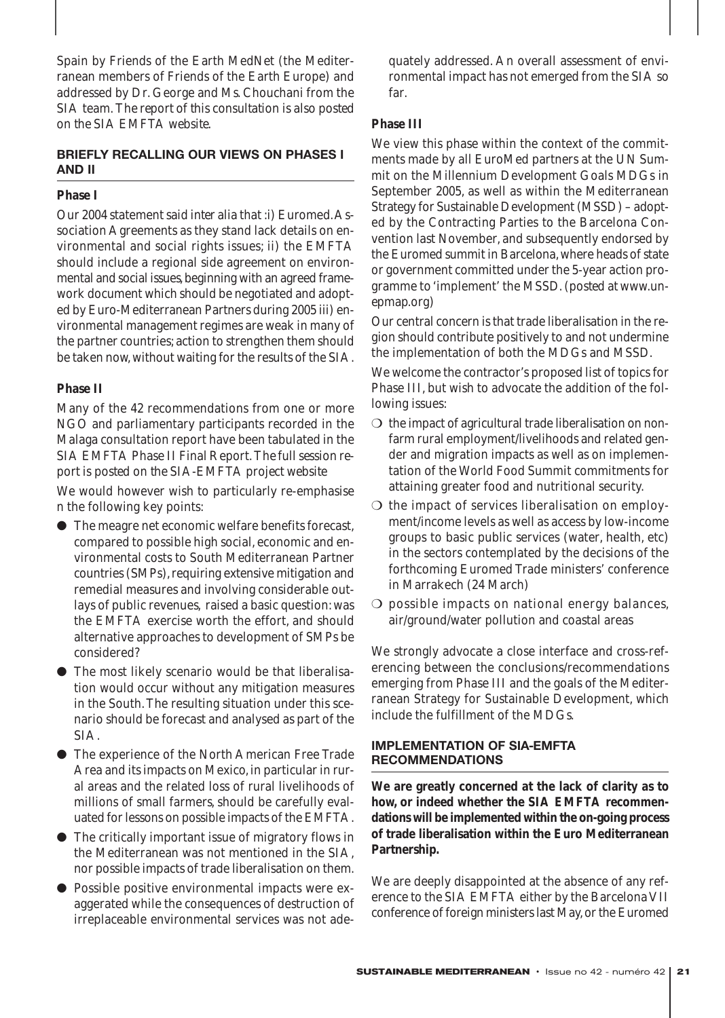Spain by Friends of the Earth MedNet (the Mediterranean members of Friends of the Earth Europe) and addressed by Dr. George and Ms. Chouchani from the SIA team. *The report of this consultation is also posted on the SIA EMFTA website.*

## **BRIEFLY RECALLING OUR VIEWS ON PHASES I AND II**

## **Phase I**

Our 2004 statement said *inter alia* that :i) Euromed.Association Agreements as they stand lack details on environmental and social rights issues; ii) the EMFTA should include a regional side agreement on environmental and social issues, beginning with an agreed framework document which should be negotiated and adopted by Euro-Mediterranean Partners during 2005 iii) environmental management regimes are weak in many of the partner countries; action to strengthen them should be taken now, without waiting for the results of the SIA.

## **Phase II**

Many of the 42 recommendations from one or more NGO and parliamentary participants recorded in the Malaga consultation report have been tabulated in the SIA EMFTA Phase II Final Report.*The full session report is posted on the SIA-EMFTA project website*

We would however wish to particularly re-emphasise n the following key points:

- The meagre net economic welfare benefits forecast, compared to possible high social, economic and environmental costs to South Mediterranean Partner countries (SMPs), requiring extensive mitigation and remedial measures and involving considerable outlays of public revenues, raised a basic question: was the EMFTA exercise worth the effort, and should alternative approaches to development of SMPs be considered?
- The most likely scenario would be that liberalisation would occur without any mitigation measures in the South. The resulting situation under this scenario should be forecast and analysed as part of the SIA.
- The experience of the North American Free Trade Area and its impacts on Mexico, in particular in rural areas and the related loss of rural livelihoods of millions of small farmers, should be carefully evaluated for lessons on possible impacts of the EMFTA.
- The critically important issue of migratory flows in the Mediterranean was not mentioned in the SIA, nor possible impacts of trade liberalisation on them.
- Possible positive environmental impacts were exaggerated while the consequences of destruction of irreplaceable environmental services was not ade-

quately addressed. An overall assessment of environmental impact has not emerged from the SIA so far.

## **Phase III**

We view this phase within the context of the commitments made by all EuroMed partners at the UN Summit on the Millennium Development Goals MDGs in September 2005, as well as within the Mediterranean Strategy for Sustainable Development (MSSD) – adopted by the Contracting Parties to the Barcelona Convention last November, and subsequently endorsed by the Euromed summit in Barcelona, where heads of state or government committed under the 5-year action programme to 'implement' the MSSD.*(posted at www.unepmap.org)*

Our central concern is that trade liberalisation in the region should contribute positively to and not undermine the implementation of both the MDGs and MSSD.

We welcome the contractor's proposed list of topics for Phase III, but wish to advocate the addition of the following issues:

- $\bigcirc$  the impact of agricultural trade liberalisation on nonfarm rural employment/livelihoods and related gender and migration impacts as well as on implementation of the World Food Summit commitments for attaining greater food and nutritional security.
- ❍ the impact of services liberalisation on employment/income levels as well as access by low-income groups to basic public services (water, health, etc) in the sectors contemplated by the decisions of the forthcoming Euromed Trade ministers' conference in Marrakech (24 March)
- ❍ possible impacts on national energy balances, air/ground/water pollution and coastal areas

We strongly advocate a close interface and cross-referencing between the conclusions/recommendations emerging from Phase III and the goals of the Mediterranean Strategy for Sustainable Development, which include the fulfillment of the MDGs.

## **IMPLEMENTATION OF SIA-EMFTA RECOMMENDATIONS**

**We are greatly concerned at the lack of clarity as to how, or indeed whether the SIA EMFTA recommendations will be implemented within the on-going process of trade liberalisation within the Euro Mediterranean Partnership.**

We are deeply disappointed at the absence of any reference to the SIA EMFTA either by the Barcelona VII conference of foreign ministers last May, or the Euromed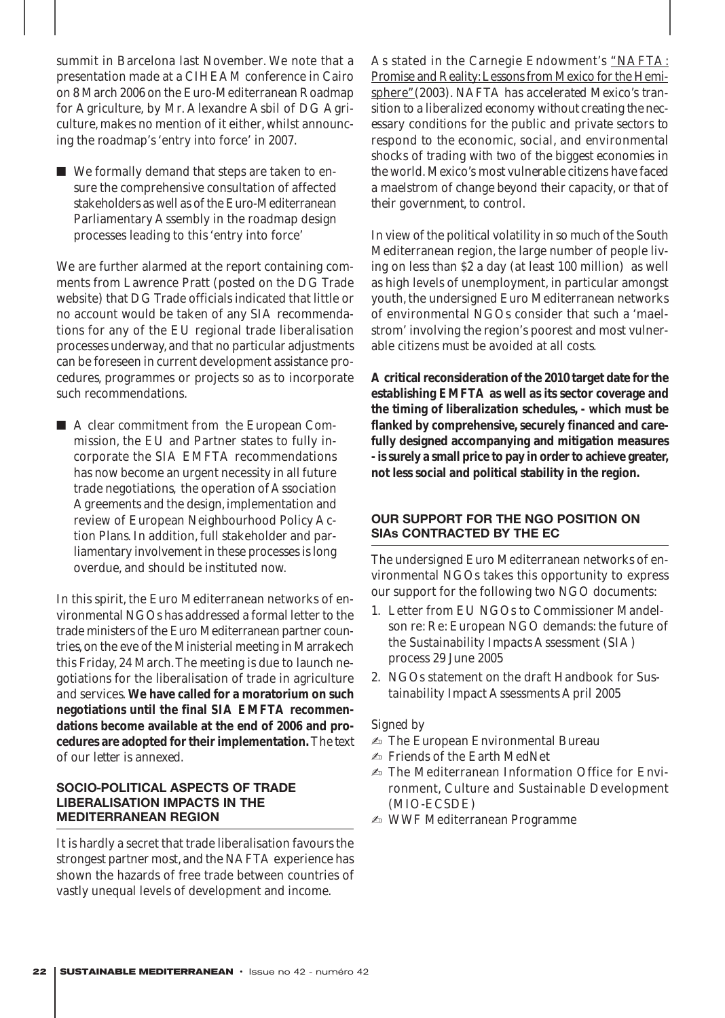summit in Barcelona last November. We note that a presentation made at a CIHEAM conference in Cairo on 8 March 2006 on the Euro-Mediterranean Roadmap for Agriculture, by Mr. Alexandre Asbil of DG Agriculture, makes no mention of it either, whilst announcing the roadmap's 'entry into force' in 2007.

■ We formally demand that steps are taken to ensure the comprehensive consultation of affected stakeholders as well as of the Euro-Mediterranean Parliamentary Assembly in the roadmap design processes leading to this 'entry into force'

We are further alarmed at the report containing comments from Lawrence Pratt (posted on the DG Trade website) that DG Trade officials indicated that little or no account would be taken of any SIA recommendations for any of the EU regional trade liberalisation processes underway, and that no particular adjustments can be foreseen in current development assistance procedures, programmes or projects so as to incorporate such recommendations*.*

■ A clear commitment from the European Commission, the EU and Partner states to fully incorporate the SIA EMFTA recommendations has now become an urgent necessity in all future trade negotiations, the operation of Association Agreements and the design, implementation and review of European Neighbourhood Policy Action Plans. In addition, full stakeholder and parliamentary involvement in these processes is long overdue, and should be instituted now.

In this spirit, the Euro Mediterranean networks of environmental NGOs has addressed a formal letter to the trade ministers of the Euro Mediterranean partner countries, on the eve of the Ministerial meeting in Marrakech this Friday, 24 March.The meeting is due to launch negotiations for the liberalisation of trade in agriculture and services. **We have called for a moratorium on such negotiations until the final SIA EMFTA recommendations become available at the end of 2006 and procedures are adopted for their implementation.***The text of our letter is annexed.*

## **SOCIO-POLITICAL ASPECTS OF TRADE LIBERALISATION IMPACTS IN THE MEDITERRANEAN REGION**

It is hardly a secret that trade liberalisation favours the strongest partner most, and the NAFTA experience has shown the hazards of free trade between countries of vastly unequal levels of development and income.

As stated in the Carnegie Endowment's "NAFTA: Promise and Reality: Lessons from Mexico for the Hemisphere"(2003). *NAFTA has accelerated Mexico's transition to a liberalized economy without creating the necessary conditions for the public and private sectors to respond to the economic, social, and environmental shocks of trading with two of the biggest economies in the world. Mexico's most vulnerable citizens have faced a maelstrom of change beyond their capacity, or that of their government, to control.*

In view of the political volatility in so much of the South Mediterranean region, the large number of people living on less than \$2 a day (at least 100 million) as well as high levels of unemployment, in particular amongst youth, the undersigned Euro Mediterranean networks of environmental NGOs consider that such a 'maelstrom' involving the region's poorest and most vulnerable citizens must be avoided at all costs.

**A critical reconsideration of the 2010 target date for the establishing EMFTA as well as its sector coverage and the timing of liberalization schedules, - which must be flanked by comprehensive, securely financed and carefully designed accompanying and mitigation measures - is surely a small price to pay in order to achieve greater, not less social and political stability in the region.**

## **OUR SUPPORT FOR THE NGO POSITION ON SIAs CONTRACTED BY THE EC**

The undersigned Euro Mediterranean networks of environmental NGOs takes this opportunity to express our support for the following two NGO documents:

- 1. Letter from EU NGOs to Commissioner Mandelson re: Re: European NGO demands: the future of the Sustainability Impacts Assessment (SIA) process 29 June 2005
- 2. NGOs statement on the draft Handbook for Sustainability Impact Assessments April 2005

## *Signed by*

- ✍ The European Environmental Bureau
- ✍ Friends of the Earth MedNet
- ✍ The Mediterranean Information Office for Environment, Culture and Sustainable Development (MIO-ECSDE)
- ✍ WWF Mediterranean Programme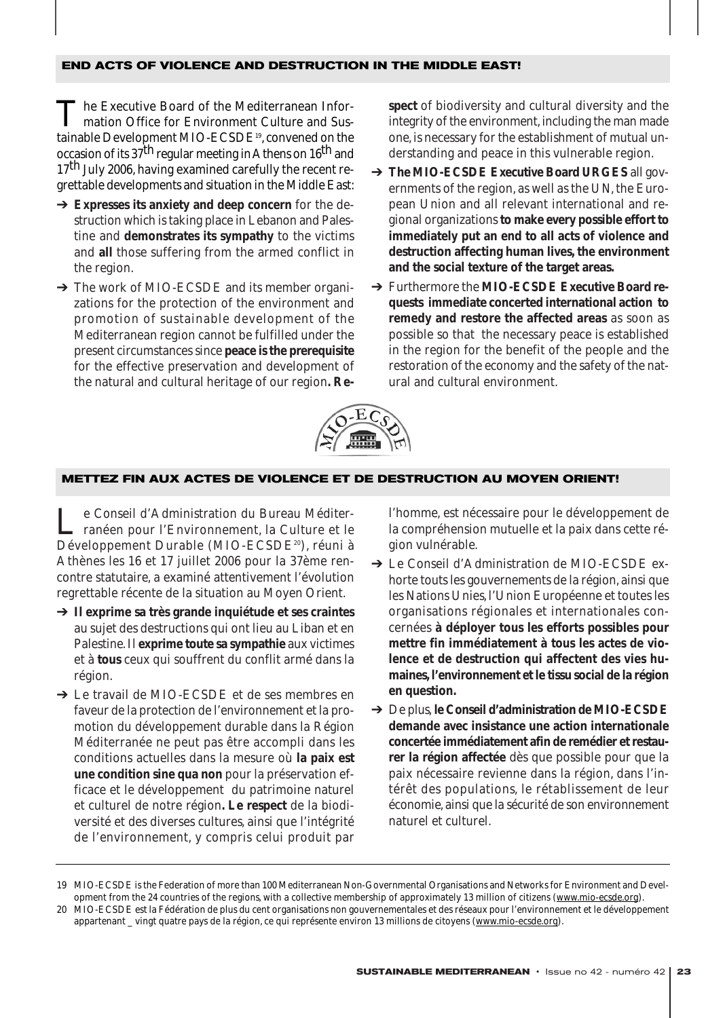#### **END ACTS OF VIOLENCE AND DESTRUCTION IN THE MIDDLE EAST!**

The Executive Board of the Mediterranean Information Office for Environment Culture and Sustainable Development MIO-ECSDE<sup>19</sup>, convened on the occasion of its 37<sup>th</sup> regular meeting in Athens on 16<sup>th</sup> and  $17<sup>th</sup>$  July 2006, having examined carefully the recent regrettable developments and situation in the Middle East:

- ➔ **Expresses its anxiety and deep concern** for the destruction which is taking place in Lebanon and Palestine and **demonstrates its sympathy** to the victims and **all** those suffering from the armed conflict in the region.
- → The work of MIO-ECSDE and its member organizations for the protection of the environment and promotion of sustainable development of the Mediterranean region cannot be fulfilled under the present circumstances since **peace is the prerequisite** for the effective preservation and development of the natural and cultural heritage of our region**. Re-**

**spect** of biodiversity and cultural diversity and the integrity of the environment, including the man made one, is necessary for the establishment of mutual understanding and peace in this vulnerable region.

- ➔ **The MIO-ECSDE Executive Board** *URGES* all governments of the region, as well as the UN, the European Union and all relevant international and regional organizations **to make every possible effort to immediately put an end to all acts of violence and destruction affecting human lives, the environment and the social texture of the target areas.**
- ➔ Furthermore the **MIO-ECSDE Executive Board requests immediate concerted international action to remedy and restore the affected areas** as soon as possible so that the necessary peace is established in the region for the benefit of the people and the restoration of the economy and the safety of the natural and cultural environment.



#### **METTEZ FIN AUX ACTES DE VIOLENCE ET DE DESTRUCTION AU MOYEN ORIENT!**

Le Conseil d'Administration du Bureau Méditerranéen pour l'Environnement, la Culture et le Développement Durable (MIO-ECSDE<sup>20</sup>), réuni à Athènes les 16 et 17 juillet 2006 pour la 37ème rencontre statutaire, a examiné attentivement l'évolution regrettable récente de la situation au Moyen Orient.

- ➔ **Il exprime sa très grande inquiétude et ses craintes** au sujet des destructions qui ont lieu au Liban et en Palestine. Il **exprime toute sa sympathie** aux victimes et à **tous** ceux qui souffrent du conflit armé dans la région.
- ➔ Le travail de MIO-ECSDE et de ses membres en faveur de la protection de l'environnement et la promotion du développement durable dans la Région Méditerranée ne peut pas être accompli dans les conditions actuelles dans la mesure où **la paix est une condition sine qua non** pour la préservation efficace et le développement du patrimoine naturel et culturel de notre région**. Le respect** de la biodiversité et des diverses cultures, ainsi que l'intégrité de l'environnement, y compris celui produit par

l'homme, est nécessaire pour le développement de la compréhension mutuelle et la paix dans cette région vulnérable.

- ➔ Le Conseil d'Administration de MIO-ECSDE exhorte touts les gouvernements de la région, ainsi que les Nations Unies, l'Union Européenne et toutes les organisations régionales et internationales concernées **à déployer tous les efforts possibles pour mettre fin immédiatement à tous les actes de violence et de destruction qui affectent des vies humaines, l'environnement et le tissu social de la région en question.**
- ➔ De plus, **le Conseil d'administration de MIO-ECSDE demande avec insistance une action internationale concertée immédiatement afin de remédier et restaurer la région affectée** dès que possible pour que la paix nécessaire revienne dans la région, dans l'intérêt des populations, le rétablissement de leur économie, ainsi que la sécurité de son environnement naturel et culturel.

<sup>19</sup> MIO-ECSDE is the Federation of more than 100 Mediterranean Non-Governmental Organisations and Networks for Environment and Development from the 24 countries of the regions, with a collective membership of approximately 13 million of citizens (www.mio-ecsde.org).

<sup>20</sup> MIO-ECSDE est la Fédération de plus du cent organisations non gouvernementales et des réseaux pour l'environnement et le développement appartenant \_ vingt quatre pays de la région, ce qui représente environ 13 millions de citoyens (www.mio-ecsde.org).